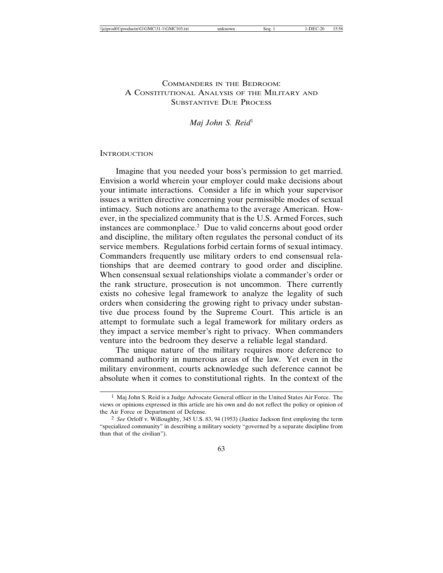# COMMANDERS IN THE BEDROOM: A CONSTITUTIONAL ANALYSIS OF THE MILITARY AND SUBSTANTIVE DUE PROCESS

*Maj John S. Reid*<sup>1</sup>

#### **INTRODUCTION**

Imagine that you needed your boss's permission to get married. Envision a world wherein your employer could make decisions about your intimate interactions. Consider a life in which your supervisor issues a written directive concerning your permissible modes of sexual intimacy. Such notions are anathema to the average American. However, in the specialized community that is the U.S. Armed Forces, such instances are commonplace.2 Due to valid concerns about good order and discipline, the military often regulates the personal conduct of its service members. Regulations forbid certain forms of sexual intimacy. Commanders frequently use military orders to end consensual relationships that are deemed contrary to good order and discipline. When consensual sexual relationships violate a commander's order or the rank structure, prosecution is not uncommon. There currently exists no cohesive legal framework to analyze the legality of such orders when considering the growing right to privacy under substantive due process found by the Supreme Court. This article is an attempt to formulate such a legal framework for military orders as they impact a service member's right to privacy. When commanders venture into the bedroom they deserve a reliable legal standard.

The unique nature of the military requires more deference to command authority in numerous areas of the law. Yet even in the military environment, courts acknowledge such deference cannot be absolute when it comes to constitutional rights. In the context of the

<sup>1</sup> Maj John S. Reid is a Judge Advocate General officer in the United States Air Force. The views or opinions expressed in this article are his own and do not reflect the policy or opinion of the Air Force or Department of Defense.

<sup>2</sup> *See* Orloff v. Willoughby, 345 U.S. 83, 94 (1953) (Justice Jackson first employing the term "specialized community" in describing a military society "governed by a separate discipline from than that of the civilian").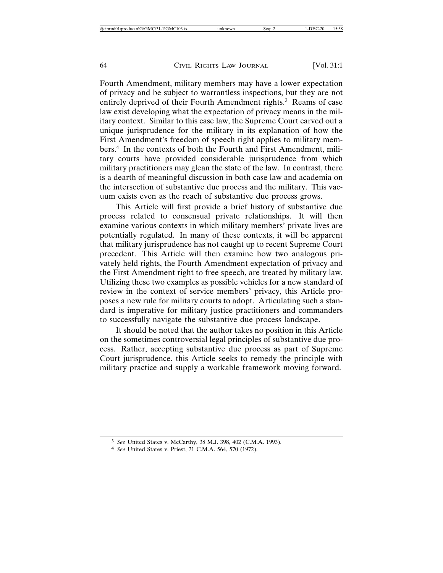Fourth Amendment, military members may have a lower expectation of privacy and be subject to warrantless inspections, but they are not entirely deprived of their Fourth Amendment rights.<sup>3</sup> Reams of case law exist developing what the expectation of privacy means in the military context. Similar to this case law, the Supreme Court carved out a unique jurisprudence for the military in its explanation of how the First Amendment's freedom of speech right applies to military members.4 In the contexts of both the Fourth and First Amendment, military courts have provided considerable jurisprudence from which military practitioners may glean the state of the law. In contrast, there is a dearth of meaningful discussion in both case law and academia on the intersection of substantive due process and the military. This vacuum exists even as the reach of substantive due process grows.

This Article will first provide a brief history of substantive due process related to consensual private relationships. It will then examine various contexts in which military members' private lives are potentially regulated. In many of these contexts, it will be apparent that military jurisprudence has not caught up to recent Supreme Court precedent. This Article will then examine how two analogous privately held rights, the Fourth Amendment expectation of privacy and the First Amendment right to free speech, are treated by military law. Utilizing these two examples as possible vehicles for a new standard of review in the context of service members' privacy, this Article proposes a new rule for military courts to adopt. Articulating such a standard is imperative for military justice practitioners and commanders to successfully navigate the substantive due process landscape.

It should be noted that the author takes no position in this Article on the sometimes controversial legal principles of substantive due process. Rather, accepting substantive due process as part of Supreme Court jurisprudence, this Article seeks to remedy the principle with military practice and supply a workable framework moving forward.

<sup>3</sup> *See* United States v. McCarthy, 38 M.J. 398, 402 (C.M.A. 1993).

<sup>4</sup> *See* United States v. Priest, 21 C.M.A. 564, 570 (1972).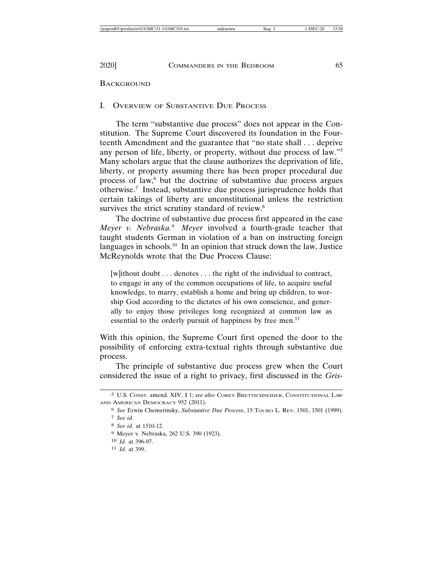## I. OVERVIEW OF SUBSTANTIVE DUE PROCESS

The term "substantive due process" does not appear in the Constitution. The Supreme Court discovered its foundation in the Fourteenth Amendment and the guarantee that "no state shall . . . deprive any person of life, liberty, or property, without due process of law."5 Many scholars argue that the clause authorizes the deprivation of life, liberty, or property assuming there has been proper procedural due process of law,<sup>6</sup> but the doctrine of substantive due process argues otherwise.7 Instead, substantive due process jurisprudence holds that certain takings of liberty are unconstitutional unless the restriction survives the strict scrutiny standard of review.<sup>8</sup>

The doctrine of substantive due process first appeared in the case *Meyer v. Nebraska.*<sup>9</sup> *Meyer* involved a fourth-grade teacher that taught students German in violation of a ban on instructing foreign languages in schools.<sup>10</sup> In an opinion that struck down the law, Justice McReynolds wrote that the Due Process Clause:

[w]ithout doubt . . . denotes . . . the right of the individual to contract, to engage in any of the common occupations of life, to acquire useful knowledge, to marry, establish a home and bring up children, to worship God according to the dictates of his own conscience, and generally to enjoy those privileges long recognized at common law as essential to the orderly pursuit of happiness by free men.<sup>11</sup>

With this opinion, the Supreme Court first opened the door to the possibility of enforcing extra-textual rights through substantive due process.

The principle of substantive due process grew when the Court considered the issue of a right to privacy, first discussed in the *Gris-*

- 10 *Id.* at 396-97.
- 11 *Id.* at 399.

<sup>5</sup> U.S. CONST. amend. XIV, § 1; *see also* COREY BRETTSCHNEIDER, CONSTITUTIONAL LAW AND AMERICAN DEMOCRACY 952 (2011).

<sup>6</sup> *See* Erwin Chemerinsky, *Substantive Due Process*, 15 TOURO L. REV. 1501, 1501 (1999). 7 *See id.*

<sup>8</sup> *See id.* at 1510-12.

<sup>9</sup> Meyer v. Nebraska, 262 U.S. 390 (1923).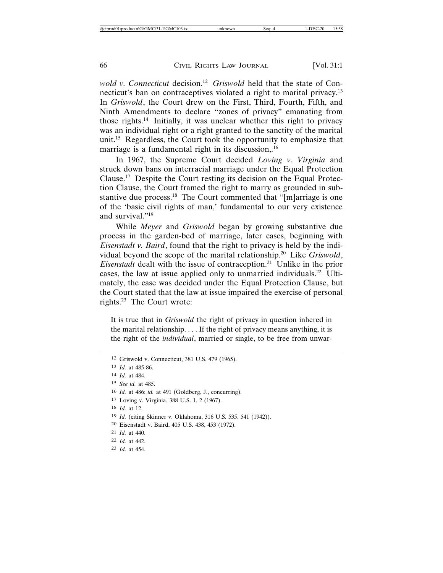*wold v. Connecticut* decision.<sup>12</sup> *Griswold* held that the state of Connecticut's ban on contraceptives violated a right to marital privacy.<sup>13</sup> In *Griswold*, the Court drew on the First, Third, Fourth, Fifth, and Ninth Amendments to declare "zones of privacy" emanating from those rights.14 Initially, it was unclear whether this right to privacy was an individual right or a right granted to the sanctity of the marital unit.<sup>15</sup> Regardless, the Court took the opportunity to emphasize that marriage is a fundamental right in its discussion,.<sup>16</sup>

In 1967, the Supreme Court decided *Loving v. Virginia* and struck down bans on interracial marriage under the Equal Protection Clause.17 Despite the Court resting its decision on the Equal Protection Clause, the Court framed the right to marry as grounded in substantive due process.18 The Court commented that "[m]arriage is one of the 'basic civil rights of man,' fundamental to our very existence and survival."19

While *Meyer* and *Griswold* began by growing substantive due process in the garden-bed of marriage, later cases, beginning with *Eisenstadt v. Baird*, found that the right to privacy is held by the individual beyond the scope of the marital relationship.20 Like *Griswold*, *Eisenstadt* dealt with the issue of contraception.<sup>21</sup> Unlike in the prior cases, the law at issue applied only to unmarried individuals.22 Ultimately, the case was decided under the Equal Protection Clause, but the Court stated that the law at issue impaired the exercise of personal rights.23 The Court wrote:

It is true that in *Griswold* the right of privacy in question inhered in the marital relationship. . . . If the right of privacy means anything, it is the right of the *individual*, married or single, to be free from unwar-

- 17 Loving v. Virginia, 388 U.S. 1, 2 (1967).
- 18 *Id.* at 12.

- 20 Eisenstadt v. Baird, 405 U.S. 438, 453 (1972).
- 21 *Id.* at 440.
- 22 *Id.* at 442.
- 23 *Id.* at 454.

<sup>12</sup> Griswold v. Connecticut, 381 U.S. 479 (1965).

<sup>13</sup> *Id.* at 485-86.

<sup>14</sup> *Id.* at 484.

<sup>15</sup> *See id.* at 485.

<sup>16</sup> *Id.* at 486; *id.* at 491 (Goldberg, J., concurring).

<sup>19</sup> *Id.* (citing Skinner v. Oklahoma, 316 U.S. 535, 541 (1942)).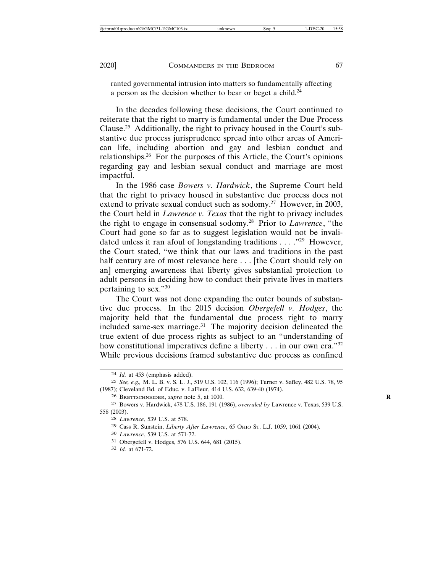ranted governmental intrusion into matters so fundamentally affecting a person as the decision whether to bear or beget a child.<sup>24</sup>

In the decades following these decisions, the Court continued to reiterate that the right to marry is fundamental under the Due Process Clause.25 Additionally, the right to privacy housed in the Court's substantive due process jurisprudence spread into other areas of American life, including abortion and gay and lesbian conduct and relationships.26 For the purposes of this Article, the Court's opinions regarding gay and lesbian sexual conduct and marriage are most impactful.

In the 1986 case *Bowers v. Hardwick*, the Supreme Court held that the right to privacy housed in substantive due process does not extend to private sexual conduct such as sodomy.<sup>27</sup> However, in 2003, the Court held in *Lawrence v. Texas* that the right to privacy includes the right to engage in consensual sodomy.28 Prior to *Lawrence*, "the Court had gone so far as to suggest legislation would not be invalidated unless it ran afoul of longstanding traditions . . . ."29 However, the Court stated, "we think that our laws and traditions in the past half century are of most relevance here . . . [the Court should rely on an] emerging awareness that liberty gives substantial protection to adult persons in deciding how to conduct their private lives in matters pertaining to sex."30

The Court was not done expanding the outer bounds of substantive due process. In the 2015 decision *Obergefell v. Hodges*, the majority held that the fundamental due process right to marry included same-sex marriage.<sup>31</sup> The majority decision delineated the true extent of due process rights as subject to an "understanding of how constitutional imperatives define a liberty . . . in our own era."<sup>32</sup> While previous decisions framed substantive due process as confined

<sup>24</sup> *Id.* at 453 (emphasis added).

<sup>25</sup> *See, e.g.,* M. L. B. v. S. L. J., 519 U.S. 102, 116 (1996); Turner v. Safley, 482 U.S. 78, 95 (1987); Cleveland Bd. of Educ. v. LaFleur, 414 U.S. 632, 639-40 (1974).

<sup>26</sup> BRETTSCHNEIDER, *supra* note 5, at 1000. **R**

<sup>27</sup> Bowers v. Hardwick, 478 U.S. 186, 191 (1986), *overruled by* Lawrence v. Texas, 539 U.S. 558 (2003).

<sup>28</sup> *Lawrence*, 539 U.S. at 578.

<sup>29</sup> Cass R. Sunstein, *Liberty After Lawrence*, 65 OHIO ST. L.J. 1059, 1061 (2004).

<sup>30</sup> *Lawrence*, 539 U.S. at 571-72.

<sup>31</sup> Obergefell v. Hodges, 576 U.S. 644, 681 (2015).

<sup>32</sup> *Id.* at 671-72.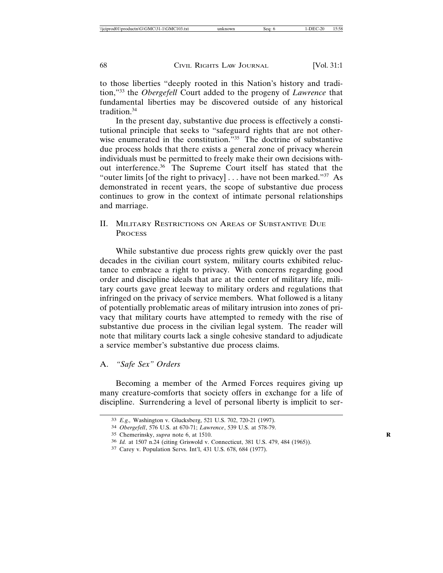to those liberties "deeply rooted in this Nation's history and tradition,"33 the *Obergefell* Court added to the progeny of *Lawrence* that fundamental liberties may be discovered outside of any historical tradition.34

In the present day, substantive due process is effectively a constitutional principle that seeks to "safeguard rights that are not otherwise enumerated in the constitution.<sup>"35</sup> The doctrine of substantive due process holds that there exists a general zone of privacy wherein individuals must be permitted to freely make their own decisions without interference.36 The Supreme Court itself has stated that the "outer limits [of the right to privacy]  $\dots$  have not been marked."<sup>37</sup> As demonstrated in recent years, the scope of substantive due process continues to grow in the context of intimate personal relationships and marriage.

II. MILITARY RESTRICTIONS ON AREAS OF SUBSTANTIVE DUE **PROCESS** 

While substantive due process rights grew quickly over the past decades in the civilian court system, military courts exhibited reluctance to embrace a right to privacy. With concerns regarding good order and discipline ideals that are at the center of military life, military courts gave great leeway to military orders and regulations that infringed on the privacy of service members. What followed is a litany of potentially problematic areas of military intrusion into zones of privacy that military courts have attempted to remedy with the rise of substantive due process in the civilian legal system. The reader will note that military courts lack a single cohesive standard to adjudicate a service member's substantive due process claims.

# A. *"Safe Sex" Orders*

Becoming a member of the Armed Forces requires giving up many creature-comforts that society offers in exchange for a life of discipline. Surrendering a level of personal liberty is implicit to ser-

<sup>33</sup> *E.g.,* Washington v. Glucksberg, 521 U.S. 702, 720-21 (1997).

<sup>34</sup> *Obergefell*, 576 U.S. at 670-71; *Lawrence*, 539 U.S. at 578-79.

<sup>35</sup> Chemerinsky, *supra* note 6, at 1510. **R**

<sup>36</sup> *Id.* at 1507 n.24 (citing Griswold v. Connecticut, 381 U.S. 479, 484 (1965)).

<sup>37</sup> Carey v. Population Servs. Int'l, 431 U.S. 678, 684 (1977).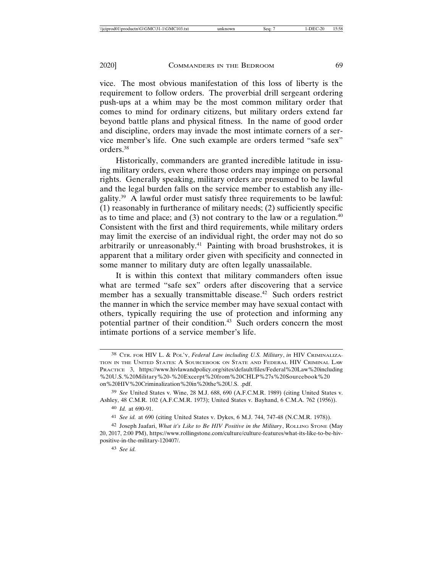vice. The most obvious manifestation of this loss of liberty is the requirement to follow orders. The proverbial drill sergeant ordering push-ups at a whim may be the most common military order that comes to mind for ordinary citizens, but military orders extend far beyond battle plans and physical fitness. In the name of good order and discipline, orders may invade the most intimate corners of a service member's life. One such example are orders termed "safe sex" orders.38

Historically, commanders are granted incredible latitude in issuing military orders, even where those orders may impinge on personal rights. Generally speaking, military orders are presumed to be lawful and the legal burden falls on the service member to establish any illegality.39 A lawful order must satisfy three requirements to be lawful: (1) reasonably in furtherance of military needs; (2) sufficiently specific as to time and place; and  $(3)$  not contrary to the law or a regulation.<sup>40</sup> Consistent with the first and third requirements, while military orders may limit the exercise of an individual right, the order may not do so arbitrarily or unreasonably. $41$  Painting with broad brushstrokes, it is apparent that a military order given with specificity and connected in some manner to military duty are often legally unassailable.

It is within this context that military commanders often issue what are termed "safe sex" orders after discovering that a service member has a sexually transmittable disease.<sup>42</sup> Such orders restrict the manner in which the service member may have sexual contact with others, typically requiring the use of protection and informing any potential partner of their condition.<sup>43</sup> Such orders concern the most intimate portions of a service member's life.

40 *Id.* at 690-91.

43 *See id.*

<sup>38</sup> CTR. FOR HIV L. & POL'Y, *Federal Law including U.S. Military*, *in* HIV CRIMINALIZA-TION IN THE UNITED STATES: A SOURCEBOOK ON STATE AND FEDERAL HIV CRIMINAL LAW PRACTICE 3, https://www.hivlawandpolicy.org/sites/default/files/Federal%20Law%20including %20U.S.%20Military%20-%20Excerpt%20from%20CHLP%27s%20Sourcebook%20 on%20HIV%20Criminalization%20in%20the%20U.S. .pdf.

<sup>39</sup> *See* United States v. Wine, 28 M.J. 688, 690 (A.F.C.M.R. 1989) (citing United States v. Ashley, 48 C.M.R. 102 (A.F.C.M.R. 1973); United States v. Bayhand, 6 C.M.A. 762 (1956)).

<sup>41</sup> *See id.* at 690 (citing United States v. Dykes, 6 M.J. 744, 747-48 (N.C.M.R. 1978)).

<sup>42</sup> Joseph Jaafari, *What it's Like to Be HIV Positive in the Military*, ROLLING STONE (May 20, 2017, 2:00 PM), https://www.rollingstone.com/culture/culture-features/what-its-like-to-be-hivpositive-in-the-military-120407/.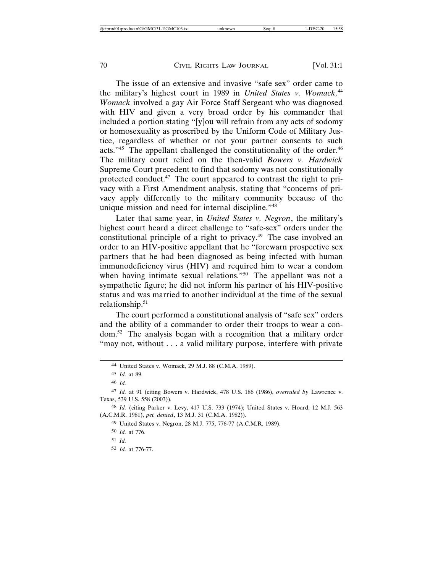The issue of an extensive and invasive "safe sex" order came to the military's highest court in 1989 in *United States v. Womack*. 44 *Womack* involved a gay Air Force Staff Sergeant who was diagnosed with HIV and given a very broad order by his commander that included a portion stating "[y]ou will refrain from any acts of sodomy or homosexuality as proscribed by the Uniform Code of Military Justice, regardless of whether or not your partner consents to such acts."<sup>45</sup> The appellant challenged the constitutionality of the order.<sup>46</sup> The military court relied on the then-valid *Bowers v. Hardwick* Supreme Court precedent to find that sodomy was not constitutionally protected conduct.47 The court appeared to contrast the right to privacy with a First Amendment analysis, stating that "concerns of privacy apply differently to the military community because of the unique mission and need for internal discipline."48

Later that same year, in *United States v. Negron*, the military's highest court heard a direct challenge to "safe-sex" orders under the constitutional principle of a right to privacy.49 The case involved an order to an HIV-positive appellant that he "forewarn prospective sex partners that he had been diagnosed as being infected with human immunodeficiency virus (HIV) and required him to wear a condom when having intimate sexual relations."50 The appellant was not a sympathetic figure; he did not inform his partner of his HIV-positive status and was married to another individual at the time of the sexual relationship.51

The court performed a constitutional analysis of "safe sex" orders and the ability of a commander to order their troops to wear a condom.52 The analysis began with a recognition that a military order "may not, without . . . a valid military purpose, interfere with private

48 *Id.* (citing Parker v. Levy, 417 U.S. 733 (1974); United States v. Hoard, 12 M.J. 563 (A.C.M.R. 1981), *pet. denied*, 13 M.J. 31 (C.M.A. 1982)).

49 United States v. Negron, 28 M.J. 775, 776-77 (A.C.M.R. 1989).

<sup>44</sup> United States v. Womack, 29 M.J. 88 (C.M.A. 1989).

<sup>45</sup> *Id.* at 89.

<sup>46</sup> *Id.*

<sup>47</sup> *Id.* at 91 (citing Bowers v. Hardwick, 478 U.S. 186 (1986), *overruled by* Lawrence v. Texas, 539 U.S. 558 (2003)).

<sup>50</sup> *Id.* at 776.

<sup>51</sup> *Id.*

<sup>52</sup> *Id.* at 776-77.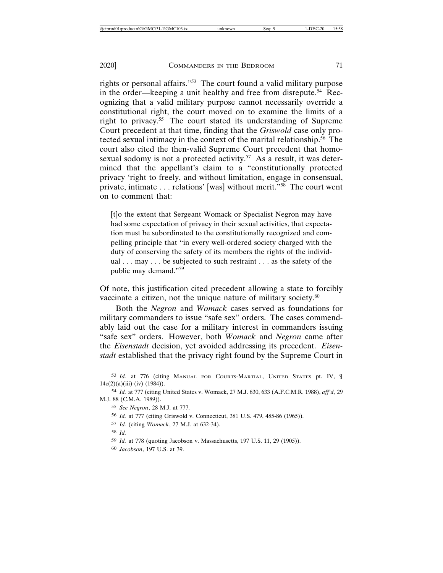rights or personal affairs."53 The court found a valid military purpose in the order—keeping a unit healthy and free from disrepute.<sup>54</sup> Recognizing that a valid military purpose cannot necessarily override a constitutional right, the court moved on to examine the limits of a right to privacy.55 The court stated its understanding of Supreme Court precedent at that time, finding that the *Griswold* case only protected sexual intimacy in the context of the marital relationship.56 The court also cited the then-valid Supreme Court precedent that homosexual sodomy is not a protected activity.<sup>57</sup> As a result, it was determined that the appellant's claim to a "constitutionally protected privacy 'right to freely, and without limitation, engage in consensual, private, intimate . . . relations' [was] without merit."58 The court went on to comment that:

[t]o the extent that Sergeant Womack or Specialist Negron may have had some expectation of privacy in their sexual activities, that expectation must be subordinated to the constitutionally recognized and compelling principle that "in every well-ordered society charged with the duty of conserving the safety of its members the rights of the individual . . . may . . . be subjected to such restraint . . . as the safety of the public may demand."<sup>59</sup>

Of note, this justification cited precedent allowing a state to forcibly vaccinate a citizen, not the unique nature of military society.<sup>60</sup>

Both the *Negron* and *Womack* cases served as foundations for military commanders to issue "safe sex" orders. The cases commendably laid out the case for a military interest in commanders issuing "safe sex" orders. However, both *Womack* and *Negron* came after the *Eisenstadt* decision, yet avoided addressing its precedent. *Eisenstadt* established that the privacy right found by the Supreme Court in

<sup>53</sup> Id. at 776 (citing MANUAL FOR COURTS-MARTIAL, UNITED STATES pt. IV,  $\P$  $14c(2)(a)(iii)-(iv) (1984)).$ 

<sup>54</sup> *Id.* at 777 (citing United States v. Womack, 27 M.J. 630, 633 (A.F.C.M.R. 1988), *aff'd*, 29 M.J. 88 (C.M.A. 1989)).

<sup>55</sup> *See Negron*, 28 M.J. at 777.

<sup>56</sup> *Id.* at 777 (citing Griswold v. Connecticut, 381 U.S. 479, 485-86 (1965)).

<sup>57</sup> *Id.* (citing *Womack*, 27 M.J. at 632-34).

<sup>58</sup> *Id.*

<sup>59</sup> *Id.* at 778 (quoting Jacobson v. Massachusetts, 197 U.S. 11, 29 (1905)).

<sup>60</sup> *Jacobson*, 197 U.S. at 39.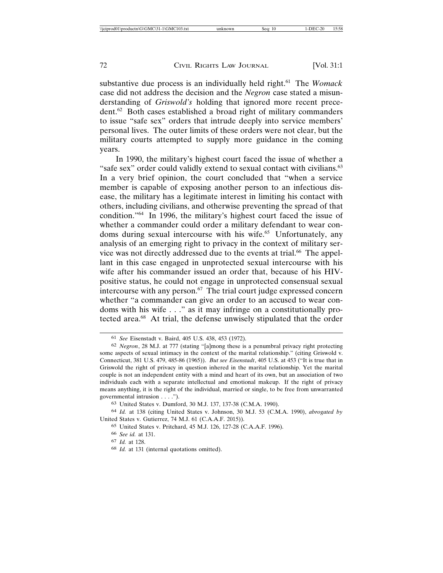substantive due process is an individually held right.<sup>61</sup> The *Womack* case did not address the decision and the *Negron* case stated a misunderstanding of *Griswold's* holding that ignored more recent precedent.62 Both cases established a broad right of military commanders to issue "safe sex" orders that intrude deeply into service members' personal lives. The outer limits of these orders were not clear, but the military courts attempted to supply more guidance in the coming years.

In 1990, the military's highest court faced the issue of whether a "safe sex" order could validly extend to sexual contact with civilians.<sup>63</sup> In a very brief opinion, the court concluded that "when a service member is capable of exposing another person to an infectious disease, the military has a legitimate interest in limiting his contact with others, including civilians, and otherwise preventing the spread of that condition."64 In 1996, the military's highest court faced the issue of whether a commander could order a military defendant to wear condoms during sexual intercourse with his wife.<sup>65</sup> Unfortunately, any analysis of an emerging right to privacy in the context of military service was not directly addressed due to the events at trial.<sup>66</sup> The appellant in this case engaged in unprotected sexual intercourse with his wife after his commander issued an order that, because of his HIVpositive status, he could not engage in unprotected consensual sexual intercourse with any person.<sup>67</sup> The trial court judge expressed concern whether "a commander can give an order to an accused to wear condoms with his wife . . ." as it may infringe on a constitutionally protected area.<sup>68</sup> At trial, the defense unwisely stipulated that the order

63 United States v. Dumford, 30 M.J. 137, 137-38 (C.M.A. 1990).

64 *Id.* at 138 (citing United States v. Johnson, 30 M.J. 53 (C.M.A. 1990), *abrogated by* United States v. Gutierrez, 74 M.J. 61 (C.A.A.F. 2015)).

<sup>61</sup> *See* Eisenstadt v. Baird, 405 U.S. 438, 453 (1972).

<sup>62</sup> *Negron*, 28 M.J. at 777 (stating "[a]mong these is a penumbral privacy right protecting some aspects of sexual intimacy in the context of the marital relationship." (citing Griswold v. Connecticut, 381 U.S. 479, 485-86 (1965)). *But see Eisenstadt*, 405 U.S. at 453 ("It is true that in Griswold the right of privacy in question inhered in the marital relationship. Yet the marital couple is not an independent entity with a mind and heart of its own, but an association of two individuals each with a separate intellectual and emotional makeup. If the right of privacy means anything, it is the right of the individual, married or single, to be free from unwarranted governmental intrusion . . . .").

<sup>65</sup> United States v. Pritchard, 45 M.J. 126, 127-28 (C.A.A.F. 1996).

<sup>66</sup> *See id.* at 131.

<sup>67</sup> *Id.* at 128.

<sup>68</sup> *Id.* at 131 (internal quotations omitted).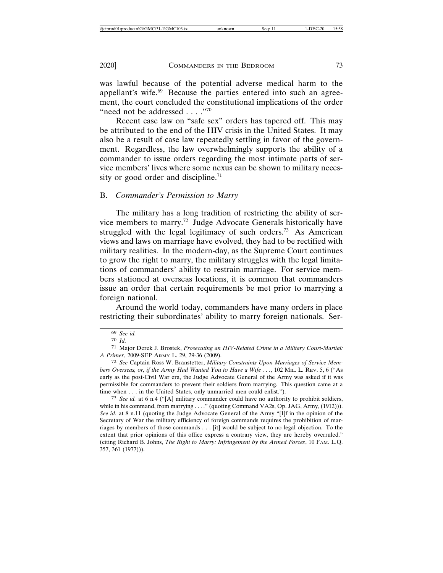was lawful because of the potential adverse medical harm to the appellant's wife.<sup>69</sup> Because the parties entered into such an agreement, the court concluded the constitutional implications of the order "need not be addressed . . . ."70"

Recent case law on "safe sex" orders has tapered off. This may be attributed to the end of the HIV crisis in the United States. It may also be a result of case law repeatedly settling in favor of the government. Regardless, the law overwhelmingly supports the ability of a commander to issue orders regarding the most intimate parts of service members' lives where some nexus can be shown to military necessity or good order and discipline.<sup>71</sup>

## B. *Commander's Permission to Marry*

The military has a long tradition of restricting the ability of service members to marry.72 Judge Advocate Generals historically have struggled with the legal legitimacy of such orders.<sup>73</sup> As American views and laws on marriage have evolved, they had to be rectified with military realities. In the modern-day, as the Supreme Court continues to grow the right to marry, the military struggles with the legal limitations of commanders' ability to restrain marriage. For service members stationed at overseas locations, it is common that commanders issue an order that certain requirements be met prior to marrying a foreign national.

Around the world today, commanders have many orders in place restricting their subordinates' ability to marry foreign nationals. Ser-

<sup>69</sup> *See id.*

<sup>70</sup> *Id.*

<sup>71</sup> Major Derek J. Brostek, *Prosecuting an HIV-Related Crime in a Military Court-Martial: A Primer*, 2009-SEP ARMY L. 29, 29-36 (2009).

<sup>72</sup> *See* Captain Ross W. Branstetter, *Military Constraints Upon Marriages of Service Members Overseas, or, if the Army Had Wanted You to Have a Wife . . ., 102 MIL. L. REV. 5, 6 ("As* early as the post-Civil War era, the Judge Advocate General of the Army was asked if it was permissible for commanders to prevent their soldiers from marrying. This question came at a time when . . . in the United States, only unmarried men could enlist.").

<sup>73</sup> *See id.* at 6 n.4 ("[A] military commander could have no authority to prohibit soldiers, while in his command, from marrying . . . ." (quoting Command VA2s, Op. JAG, Army, (1912))). *See id.* at 8 n.11 (quoting the Judge Advocate General of the Army "[I]f in the opinion of the Secretary of War the military efficiency of foreign commands requires the prohibition of marriages by members of those commands . . . [it] would be subject to no legal objection. To the extent that prior opinions of this office express a contrary view, they are hereby overruled." (citing Richard B. Johns, *The Right to Marry: Infringement by the Armed Forces*, 10 FAM. L.Q. 357, 361 (1977))).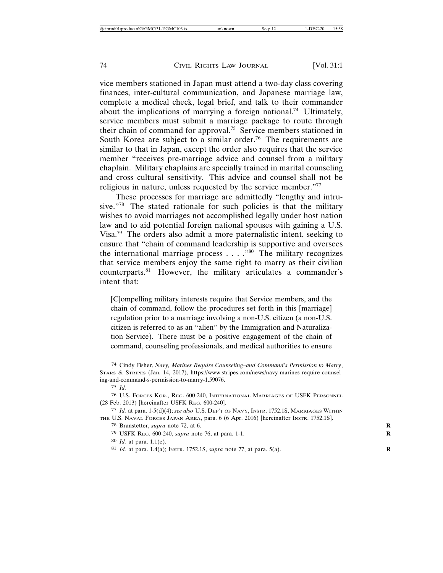vice members stationed in Japan must attend a two-day class covering finances, inter-cultural communication, and Japanese marriage law, complete a medical check, legal brief, and talk to their commander about the implications of marrying a foreign national.<sup>74</sup> Ultimately, service members must submit a marriage package to route through their chain of command for approval.75 Service members stationed in South Korea are subject to a similar order.<sup>76</sup> The requirements are similar to that in Japan, except the order also requires that the service member "receives pre-marriage advice and counsel from a military chaplain. Military chaplains are specially trained in marital counseling and cross cultural sensitivity. This advice and counsel shall not be religious in nature, unless requested by the service member."77

These processes for marriage are admittedly "lengthy and intrusive."78 The stated rationale for such policies is that the military wishes to avoid marriages not accomplished legally under host nation law and to aid potential foreign national spouses with gaining a U.S. Visa.79 The orders also admit a more paternalistic intent, seeking to ensure that "chain of command leadership is supportive and oversees the international marriage process  $\dots$  . . . . . . The military recognizes that service members enjoy the same right to marry as their civilian counterparts.81 However, the military articulates a commander's intent that:

[C]ompelling military interests require that Service members, and the chain of command, follow the procedures set forth in this [marriage] regulation prior to a marriage involving a non-U.S. citizen (a non-U.S. citizen is referred to as an "alien" by the Immigration and Naturalization Service). There must be a positive engagement of the chain of command, counseling professionals, and medical authorities to ensure

<sup>74</sup> Cindy Fisher, *Navy, Marines Require Counseling–and Command's Permission to Marry*, STARS & STRIPES (Jan. 14, 2017), https://www.stripes.com/news/navy-marines-require-counseling-and-command-s-permission-to-marry-1.59076.

<sup>75</sup> *Id.*

<sup>76</sup> U.S. FORCES KOR., REG. 600-240, INTERNATIONAL MARRIAGES OF USFK PERSONNEL (28 Feb. 2013) [hereinafter USFK REG. 600-240].

<sup>77</sup> *Id*. at para. 1-5(d)(4); *see also* U.S. DEP'T OF NAVY, INSTR. 1752.1S, MARRIAGES WITHIN THE U.S. NAVAL FORCES JAPAN AREA, para. 6 (6 Apr. 2016) [hereinafter INSTR. 1752.1S].

<sup>78</sup> Branstetter, *supra* note 72, at 6. **R**

<sup>79</sup> USFK REG. 600-240, *supra* note 76, at para. 1-1. **R**

<sup>80</sup> *Id.* at para. 1.1(e).

<sup>81</sup> *Id.* at para. 1.4(a); INSTR. 1752.1S, *supra* note 77, at para. 5(a). **R**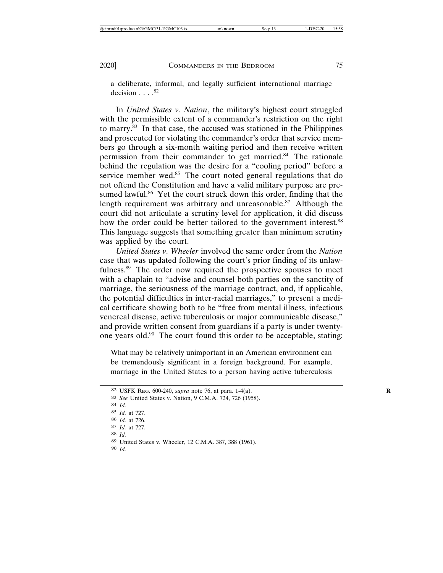a deliberate, informal, and legally sufficient international marriage decision  $\ldots$ .  $82$ 

In *United States v. Nation*, the military's highest court struggled with the permissible extent of a commander's restriction on the right to marry.83 In that case, the accused was stationed in the Philippines and prosecuted for violating the commander's order that service members go through a six-month waiting period and then receive written permission from their commander to get married.84 The rationale behind the regulation was the desire for a "cooling period" before a service member wed.<sup>85</sup> The court noted general regulations that do not offend the Constitution and have a valid military purpose are presumed lawful.<sup>86</sup> Yet the court struck down this order, finding that the length requirement was arbitrary and unreasonable. $87$  Although the court did not articulate a scrutiny level for application, it did discuss how the order could be better tailored to the government interest.<sup>88</sup> This language suggests that something greater than minimum scrutiny was applied by the court.

*United States v. Wheeler* involved the same order from the *Nation* case that was updated following the court's prior finding of its unlawfulness.<sup>89</sup> The order now required the prospective spouses to meet with a chaplain to "advise and counsel both parties on the sanctity of marriage, the seriousness of the marriage contract, and, if applicable, the potential difficulties in inter-racial marriages," to present a medical certificate showing both to be "free from mental illness, infectious venereal disease, active tuberculosis or major communicable disease," and provide written consent from guardians if a party is under twentyone years old.90 The court found this order to be acceptable, stating:

What may be relatively unimportant in an American environment can be tremendously significant in a foreign background. For example, marriage in the United States to a person having active tuberculosis

88 *Id.*

<sup>82</sup> USFK REG. 600-240, *supra* note 76, at para. 1-4(a). **R**

<sup>83</sup> *See* United States v. Nation, 9 C.M.A. 724, 726 (1958).

<sup>84</sup> *Id.*

<sup>85</sup> *Id.* at 727.

<sup>86</sup> *Id.* at 726.

<sup>87</sup> *Id.* at 727.

<sup>89</sup> United States v. Wheeler, 12 C.M.A. 387, 388 (1961).

<sup>90</sup> *Id.*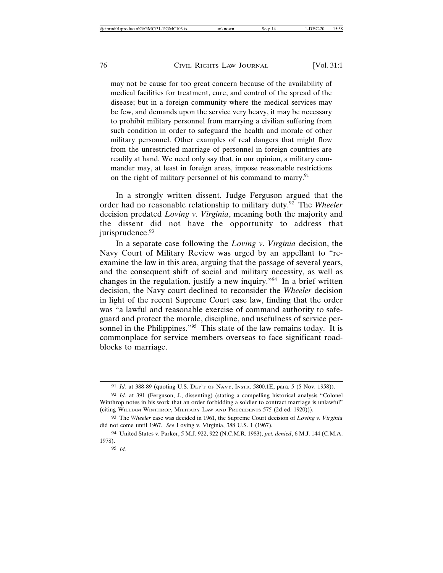may not be cause for too great concern because of the availability of medical facilities for treatment, cure, and control of the spread of the disease; but in a foreign community where the medical services may be few, and demands upon the service very heavy, it may be necessary to prohibit military personnel from marrying a civilian suffering from such condition in order to safeguard the health and morale of other military personnel. Other examples of real dangers that might flow from the unrestricted marriage of personnel in foreign countries are readily at hand. We need only say that, in our opinion, a military commander may, at least in foreign areas, impose reasonable restrictions on the right of military personnel of his command to marry.<sup>91</sup>

In a strongly written dissent, Judge Ferguson argued that the order had no reasonable relationship to military duty.92 The *Wheeler* decision predated *Loving v. Virginia*, meaning both the majority and the dissent did not have the opportunity to address that jurisprudence.<sup>93</sup>

In a separate case following the *Loving v. Virginia* decision, the Navy Court of Military Review was urged by an appellant to "reexamine the law in this area, arguing that the passage of several years, and the consequent shift of social and military necessity, as well as changes in the regulation, justify a new inquiry."94 In a brief written decision, the Navy court declined to reconsider the *Wheeler* decision in light of the recent Supreme Court case law, finding that the order was "a lawful and reasonable exercise of command authority to safeguard and protect the morale, discipline, and usefulness of service personnel in the Philippines."<sup>95</sup> This state of the law remains today. It is commonplace for service members overseas to face significant roadblocks to marriage.

<sup>91</sup> *Id.* at 388-89 (quoting U.S. DEP'T OF NAVY, INSTR. 5800.1E, para. 5 (5 Nov. 1958)).

<sup>92</sup> *Id.* at 391 (Ferguson, J., dissenting) (stating a compelling historical analysis "Colonel Winthrop notes in his work that an order forbidding a soldier to contract marriage is unlawful" (citing WILLIAM WINTHROP, MILITARY LAW AND PRECEDENTS 575 (2d ed. 1920))).

<sup>93</sup> The *Wheeler* case was decided in 1961, the Supreme Court decision of *Loving v. Virginia* did not come until 1967. *See* Loving v. Virginia, 388 U.S. 1 (1967).

<sup>94</sup> United States v. Parker, 5 M.J. 922, 922 (N.C.M.R. 1983), *pet. denied*, 6 M.J. 144 (C.M.A. 1978).

<sup>95</sup> *Id.*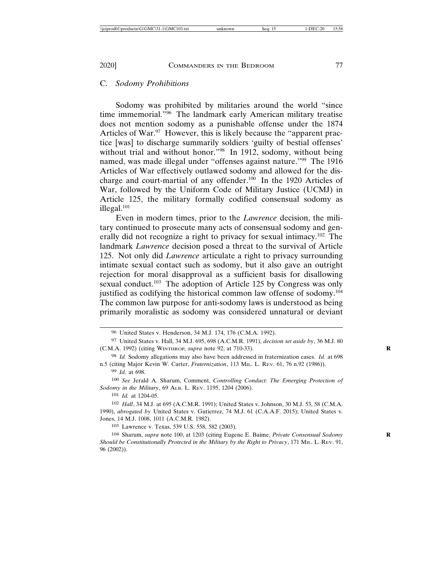#### C. *Sodomy Prohibitions*

Sodomy was prohibited by militaries around the world "since time immemorial."96 The landmark early American military treatise does not mention sodomy as a punishable offense under the 1874 Articles of War.<sup>97</sup> However, this is likely because the "apparent practice [was] to discharge summarily soldiers 'guilty of bestial offenses' without trial and without honor."<sup>98</sup> In 1912, sodomy, without being named, was made illegal under "offenses against nature."99 The 1916 Articles of War effectively outlawed sodomy and allowed for the discharge and court-martial of any offender.<sup>100</sup> In the 1920 Articles of War, followed by the Uniform Code of Military Justice (UCMJ) in Article 125, the military formally codified consensual sodomy as illegal.<sup>101</sup>

Even in modern times, prior to the *Lawrence* decision, the military continued to prosecute many acts of consensual sodomy and generally did not recognize a right to privacy for sexual intimacy.102 The landmark *Lawrence* decision posed a threat to the survival of Article 125. Not only did *Lawrence* articulate a right to privacy surrounding intimate sexual contact such as sodomy, but it also gave an outright rejection for moral disapproval as a sufficient basis for disallowing sexual conduct.<sup>103</sup> The adoption of Article 125 by Congress was only justified as codifying the historical common law offense of sodomy.<sup>104</sup> The common law purpose for anti-sodomy laws is understood as being primarily moralistic as sodomy was considered unnatural or deviant

100 *See* Jerald A. Sharum, Comment, *Controlling Conduct: The Emerging Protection of Sodomy in the Military*, 69 ALB. L. REV. 1195, 1204 (2006).

101 *Id.* at 1204-05.

102 *Hall*, 34 M.J. at 695 (A.C.M.R. 1991); United States v. Johnson, 30 M.J. 53, 58 (C.M.A. 1990), *abrogated by* United States v. Gutierrez, 74 M.J. 61 (C.A.A.F. 2015); United States v. Jones, 14 M.J. 1008, 1011 (A.C.M.R. 1982).

103 Lawrence v. Texas, 539 U.S. 558, 582 (2003).

<sup>96</sup> United States v. Henderson, 34 M.J. 174, 176 (C.M.A. 1992).

<sup>97</sup> United States v. Hall, 34 M.J. 695, 698 (A.C.M.R. 1991), *decision set aside by*, 36 M.J. 80 (C.M.A. 1992) (citing WINTHROP*, supra* note 92, at 710-33). **R**

<sup>98</sup> *Id.* Sodomy allegations may also have been addressed in fraternization cases. *Id.* at 698 n.5 (citing Major Kevin W. Carter, *Fraternization*, 113 MIL. L. REV. 61, 76 n.92 (1986)).

<sup>99</sup> *Id.* at 698.

<sup>104</sup> Sharum, *supra* note 100, at 1203 (citing Eugene E. Baime, *Private Consensual Sodomy* **R** *Should be Constitutionally Protected in the Military by the Right to Privacy*, 171 MIL. L. REV. 91, 96 (2002)).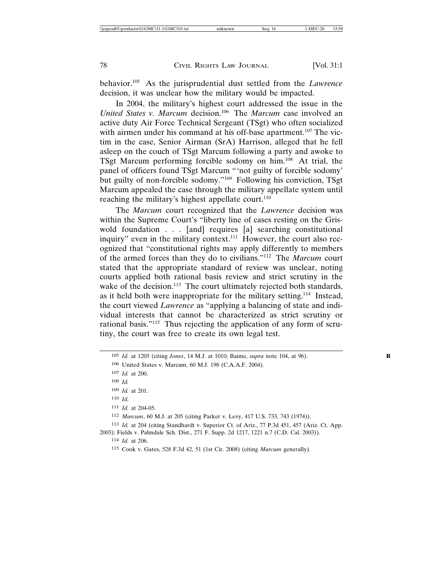behavior.105 As the jurisprudential dust settled from the *Lawrence* decision, it was unclear how the military would be impacted.

In 2004, the military's highest court addressed the issue in the *United States v. Marcum* decision.106 The *Marcum* case involved an active duty Air Force Technical Sergeant (TSgt) who often socialized with airmen under his command at his off-base apartment.<sup>107</sup> The victim in the case, Senior Airman (SrA) Harrison, alleged that he fell asleep on the couch of TSgt Marcum following a party and awoke to TSgt Marcum performing forcible sodomy on him.108 At trial, the panel of officers found TSgt Marcum "'not guilty of forcible sodomy' but guilty of non-forcible sodomy."109 Following his conviction, TSgt Marcum appealed the case through the military appellate system until reaching the military's highest appellate court.<sup>110</sup>

The *Marcum* court recognized that the *Lawrence* decision was within the Supreme Court's "liberty line of cases resting on the Griswold foundation . . . [and] requires [a] searching constitutional inquiry" even in the military context. $111$  However, the court also recognized that "constitutional rights may apply differently to members of the armed forces than they do to civilians."112 The *Marcum* court stated that the appropriate standard of review was unclear, noting courts applied both rational basis review and strict scrutiny in the wake of the decision.<sup>113</sup> The court ultimately rejected both standards, as it held both were inappropriate for the military setting.114 Instead, the court viewed *Lawrence* as "applying a balancing of state and individual interests that cannot be characterized as strict scrutiny or rational basis."115 Thus rejecting the application of any form of scrutiny, the court was free to create its own legal test.

111 *Id.* at 204-05.

<sup>105</sup> *Id.* at 1205 (citing *Jones*, 14 M.J. at 1010; Baime, *supra* note 104, at 96). **R**

<sup>106</sup> United States v. Marcum, 60 M.J. 198 (C.A.A.F. 2004).

<sup>107</sup> *Id.* at 200.

<sup>108</sup> *Id.*

<sup>109</sup> *Id.* at 201.

<sup>110</sup> *Id.*

<sup>112</sup> *Marcum*, 60 M.J. at 205 (citing Parker v. Levy, 417 U.S. 733, 743 (1974)).

<sup>113</sup> *Id.* at 204 (citing Standhardt v. Superior Ct. of Ariz., 77 P.3d 451, 457 (Ariz. Ct. App. 2003); Fields v. Palmdale Sch. Dist., 271 F. Supp. 2d 1217, 1221 n.7 (C.D. Cal. 2003)).

<sup>114</sup> *Id.* at 206.

<sup>115</sup> Cook v. Gates, 528 F.3d 42, 51 (1st Cir. 2008) (citing *Marcum* generally).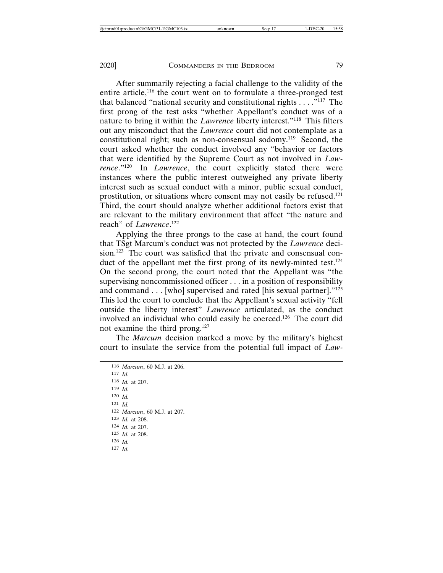After summarily rejecting a facial challenge to the validity of the entire article,<sup>116</sup> the court went on to formulate a three-pronged test that balanced "national security and constitutional rights  $\ldots$  ."<sup>117</sup> The first prong of the test asks "whether Appellant's conduct was of a nature to bring it within the *Lawrence* liberty interest."118 This filters out any misconduct that the *Lawrence* court did not contemplate as a constitutional right; such as non-consensual sodomy.<sup>119</sup> Second, the court asked whether the conduct involved any "behavior or factors that were identified by the Supreme Court as not involved in *Lawrence*."120 In *Lawrence*, the court explicitly stated there were instances where the public interest outweighed any private liberty interest such as sexual conduct with a minor, public sexual conduct, prostitution, or situations where consent may not easily be refused.121 Third, the court should analyze whether additional factors exist that are relevant to the military environment that affect "the nature and reach" of *Lawrence*. 122

Applying the three prongs to the case at hand, the court found that TSgt Marcum's conduct was not protected by the *Lawrence* decision.<sup>123</sup> The court was satisfied that the private and consensual conduct of the appellant met the first prong of its newly-minted test.<sup>124</sup> On the second prong, the court noted that the Appellant was "the supervising noncommissioned officer . . . in a position of responsibility and command . . . [who] supervised and rated [his sexual partner]."125 This led the court to conclude that the Appellant's sexual activity "fell outside the liberty interest" *Lawrence* articulated, as the conduct involved an individual who could easily be coerced.126 The court did not examine the third prong.127

The *Marcum* decision marked a move by the military's highest court to insulate the service from the potential full impact of *Law-*

116 *Marcum*, 60 M.J. at 206. 117 *Id.* 118 *Id.* at 207. 119 *Id.* 120 *Id.* 121 *Id.* 122 *Marcum*, 60 M.J. at 207. 123 *Id.* at 208. 124 *Id.* at 207. 125 *Id.* at 208. 126 *Id.* 127 *Id.*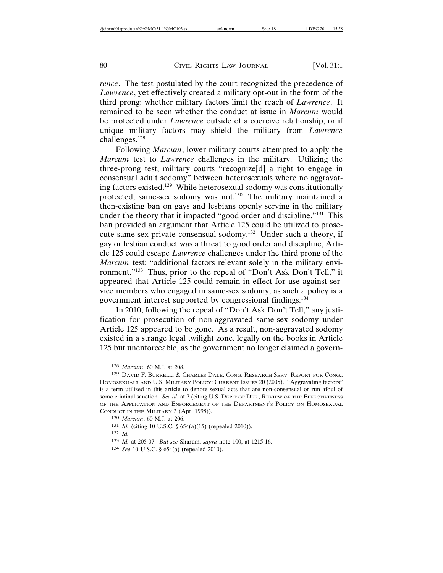*rence*. The test postulated by the court recognized the precedence of *Lawrence*, yet effectively created a military opt-out in the form of the third prong: whether military factors limit the reach of *Lawrence*. It remained to be seen whether the conduct at issue in *Marcum* would be protected under *Lawrence* outside of a coercive relationship, or if unique military factors may shield the military from *Lawrence* challenges.128

Following *Marcum*, lower military courts attempted to apply the *Marcum* test to *Lawrence* challenges in the military. Utilizing the three-prong test, military courts "recognize[d] a right to engage in consensual adult sodomy" between heterosexuals where no aggravating factors existed.129 While heterosexual sodomy was constitutionally protected, same-sex sodomy was not.<sup>130</sup> The military maintained a then-existing ban on gays and lesbians openly serving in the military under the theory that it impacted "good order and discipline."131 This ban provided an argument that Article 125 could be utilized to prosecute same-sex private consensual sodomy.132 Under such a theory, if gay or lesbian conduct was a threat to good order and discipline, Article 125 could escape *Lawrence* challenges under the third prong of the *Marcum* test: "additional factors relevant solely in the military environment."133 Thus, prior to the repeal of "Don't Ask Don't Tell," it appeared that Article 125 could remain in effect for use against service members who engaged in same-sex sodomy, as such a policy is a government interest supported by congressional findings.134

In 2010, following the repeal of "Don't Ask Don't Tell," any justification for prosecution of non-aggravated same-sex sodomy under Article 125 appeared to be gone. As a result, non-aggravated sodomy existed in a strange legal twilight zone, legally on the books in Article 125 but unenforceable, as the government no longer claimed a govern-

<sup>128</sup> *Marcum*, 60 M.J. at 208.

<sup>129</sup> DAVID F. BURRELLI & CHARLES DALE, CONG. RESEARCH SERV. REPORT FOR CONG., HOMOSEXUALS AND U.S. MILITARY POLICY: CURRENT ISSUES 20 (2005). "Aggravating factors" is a term utilized in this article to denote sexual acts that are non-consensual or run afoul of some criminal sanction. *See id.* at 7 (citing U.S. DEP'T OF DEF., REVIEW OF THE EFFECTIVENESS OF THE APPLICATION AND ENFORCEMENT OF THE DEPARTMENT'S POLICY ON HOMOSEXUAL CONDUCT IN THE MILITARY 3 (Apr. 1998)).

<sup>130</sup> *Marcum*, 60 M.J. at 206.

<sup>131</sup> *Id.* (citing 10 U.S.C. § 654(a)(15) (repealed 2010)).

<sup>132</sup> *Id.*

<sup>133</sup> *Id.* at 205-07. *But see* Sharum, *supra* note 100, at 1215-16.

<sup>134</sup> *See* 10 U.S.C. § 654(a) (repealed 2010).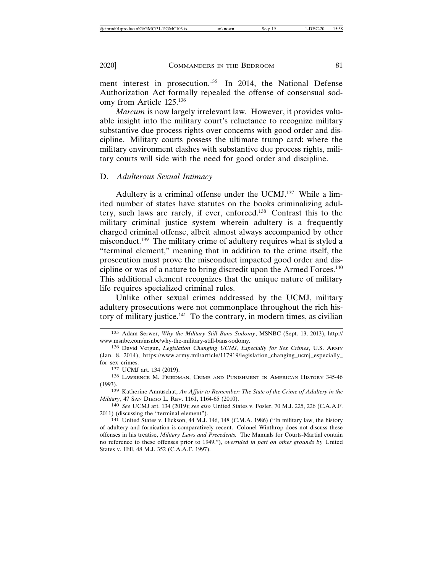ment interest in prosecution.<sup>135</sup> In 2014, the National Defense Authorization Act formally repealed the offense of consensual sodomy from Article 125.136

*Marcum* is now largely irrelevant law. However, it provides valuable insight into the military court's reluctance to recognize military substantive due process rights over concerns with good order and discipline. Military courts possess the ultimate trump card: where the military environment clashes with substantive due process rights, military courts will side with the need for good order and discipline.

## D. *Adulterous Sexual Intimacy*

Adultery is a criminal offense under the UCMJ.<sup>137</sup> While a limited number of states have statutes on the books criminalizing adultery, such laws are rarely, if ever, enforced.138 Contrast this to the military criminal justice system wherein adultery is a frequently charged criminal offense, albeit almost always accompanied by other misconduct.139 The military crime of adultery requires what is styled a "terminal element," meaning that in addition to the crime itself, the prosecution must prove the misconduct impacted good order and discipline or was of a nature to bring discredit upon the Armed Forces.140 This additional element recognizes that the unique nature of military life requires specialized criminal rules.

Unlike other sexual crimes addressed by the UCMJ, military adultery prosecutions were not commonplace throughout the rich history of military justice. $141$  To the contrary, in modern times, as civilian

<sup>135</sup> Adam Serwer, *Why the Military Still Bans Sodomy*, MSNBC (Sept. 13, 2013), http:// www.msnbc.com/msnbc/why-the-military-still-bans-sodomy.

<sup>136</sup> David Vergun, *Legislation Changing UCMJ, Especially for Sex Crimes*, U.S. ARMY (Jan. 8, 2014), https://www.army.mil/article/117919/legislation\_changing\_ucmj\_especially\_ for\_sex\_crimes.

<sup>137</sup> UCMJ art. 134 (2019).

<sup>138</sup> LAWRENCE M. FRIEDMAN, CRIME AND PUNISHMENT IN AMERICAN HISTORY 345-46 (1993).

<sup>139</sup> Katherine Annuschat, *An Affair to Remember: The State of the Crime of Adultery in the Military*, 47 SAN DIEGO L. REV. 1161, 1164-65 (2010).

<sup>140</sup> *See* UCMJ art. 134 (2019); *see also* United States v. Fosler, 70 M.J. 225, 226 (C.A.A.F. 2011) (discussing the "terminal element").

<sup>141</sup> United States v. Hickson, 44 M.J. 146, 148 (C.M.A. 1986) ("In military law, the history of adultery and fornication is comparatively recent. Colonel Winthrop does not discuss these offenses in his treatise, *Military Laws and Precedents.* The Manuals for Courts-Martial contain no reference to these offenses prior to 1949."), *overruled in part on other grounds by* United States v. Hill, 48 M.J. 352 (C.A.A.F. 1997).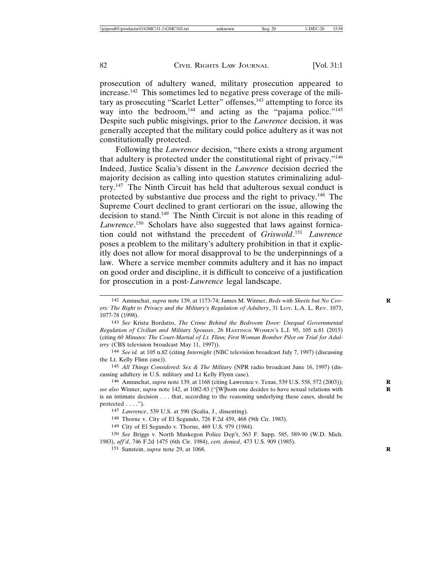prosecution of adultery waned, military prosecution appeared to increase.142 This sometimes led to negative press coverage of the military as prosecuting "Scarlet Letter" offenses,<sup>143</sup> attempting to force its way into the bedroom,<sup>144</sup> and acting as the "pajama police."<sup>145</sup> Despite such public misgivings, prior to the *Lawrence* decision, it was generally accepted that the military could police adultery as it was not constitutionally protected.

Following the *Lawrence* decision, "there exists a strong argument that adultery is protected under the constitutional right of privacy."146 Indeed, Justice Scalia's dissent in the *Lawrence* decision decried the majority decision as calling into question statutes criminalizing adultery.147 The Ninth Circuit has held that adulterous sexual conduct is protected by substantive due process and the right to privacy.148 The Supreme Court declined to grant certiorari on the issue, allowing the decision to stand.149 The Ninth Circuit is not alone in this reading of *Lawrence*. 150 Scholars have also suggested that laws against fornication could not withstand the precedent of *Griswold*. <sup>151</sup> *Lawrence* poses a problem to the military's adultery prohibition in that it explicitly does not allow for moral disapproval to be the underpinnings of a law. Where a service member commits adultery and it has no impact on good order and discipline, it is difficult to conceive of a justification for prosecution in a post-*Lawrence* legal landscape.

<sup>142</sup> Annuschat, *supra* note 139, at 1173-74; James M. Winner, *Beds with Sheets but No Cov-* **R** *ers: The Right to Privacy and the Military's Regulation of Adultery*, 31 LOY. L.A. L. REV. 1073, 1077-78 (1998).

<sup>143</sup> *See* Krista Bordatto, *The Crime Behind the Bedroom Door: Unequal Governmental Regulation of Civilian and Military Spouses*, 26 HASTINGS WOMEN'S L.J. 95, 105 n.81 (2015) (citing *60 Minutes: The Court-Martial of Lt. Flinn; First Woman Bomber Pilot on Trial for Adultery* (CBS television broadcast May 11, 1997)).

<sup>144</sup> *See id.* at 105 n.82 (citing *Internight* (NBC television broadcast July 7, 1997) (discussing the Lt. Kelly Flinn case)).

<sup>145</sup> *All Things Considered: Sex & The Military* (NPR radio broadcast June 16, 1997) (discussing adultery in U.S. military and Lt Kelly Flynn case).

<sup>146</sup> Annuschat, *supra* note 139, at 1168 (citing Lawrence v. Texas, 539 U.S. 558, 572 (2003)); **R** *see also* Winner, *supra* note 142, at 1082-83 ("[W]hom one decides to have sexual relations with **R** is an intimate decision . . . that, according to the reasoning underlying these cases, should be protected  $\dots$ .").

<sup>147</sup> *Lawrence*, 539 U.S. at 590 (Scalia, J., dissenting).

<sup>148</sup> Thorne v. City of El Segundo, 726 F.2d 459, 468 (9th Cir. 1983).

<sup>149</sup> City of El Segundo v. Thorne, 469 U.S. 979 (1984).

<sup>150</sup> *See* Briggs v. North Muskegon Police Dep't, 563 F. Supp. 585, 589-90 (W.D. Mich. 1983), *aff'd*, 746 F.2d 1475 (6th Cir. 1984), *cert. denied*, 473 U.S. 909 (1985).

<sup>151</sup> Sunstein, *supra* note 29, at 1068. **R**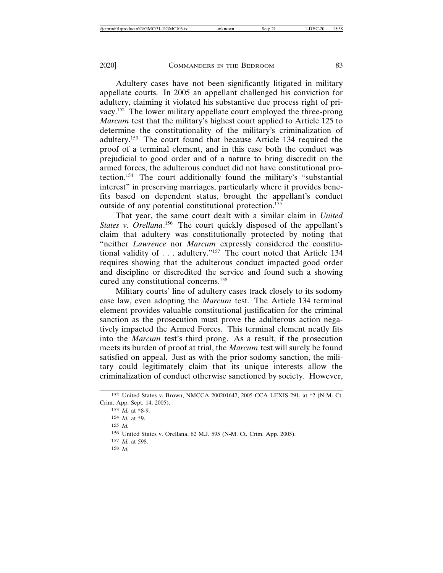Adultery cases have not been significantly litigated in military appellate courts. In 2005 an appellant challenged his conviction for adultery, claiming it violated his substantive due process right of privacy.152 The lower military appellate court employed the three-prong *Marcum* test that the military's highest court applied to Article 125 to determine the constitutionality of the military's criminalization of adultery.153 The court found that because Article 134 required the proof of a terminal element, and in this case both the conduct was prejudicial to good order and of a nature to bring discredit on the armed forces, the adulterous conduct did not have constitutional protection.154 The court additionally found the military's "substantial interest" in preserving marriages, particularly where it provides benefits based on dependent status, brought the appellant's conduct outside of any potential constitutional protection.155

That year, the same court dealt with a similar claim in *United* States v. Orellana.<sup>156</sup> The court quickly disposed of the appellant's claim that adultery was constitutionally protected by noting that "neither *Lawrence* nor *Marcum* expressly considered the constitutional validity of . . . adultery."157 The court noted that Article 134 requires showing that the adulterous conduct impacted good order and discipline or discredited the service and found such a showing cured any constitutional concerns.158

Military courts' line of adultery cases track closely to its sodomy case law, even adopting the *Marcum* test. The Article 134 terminal element provides valuable constitutional justification for the criminal sanction as the prosecution must prove the adulterous action negatively impacted the Armed Forces. This terminal element neatly fits into the *Marcum* test's third prong. As a result, if the prosecution meets its burden of proof at trial, the *Marcum* test will surely be found satisfied on appeal. Just as with the prior sodomy sanction, the military could legitimately claim that its unique interests allow the criminalization of conduct otherwise sanctioned by society. However,

<sup>152</sup> United States v. Brown, NMCCA 200201647, 2005 CCA LEXIS 291, at \*2 (N-M. Ct. Crim. App. Sept. 14, 2005).

<sup>153</sup> *Id.* at \*8-9.

<sup>154</sup> *Id.* at \*9.

<sup>155</sup> *Id.*

<sup>156</sup> United States v. Orellana, 62 M.J. 595 (N-M. Ct. Crim. App. 2005).

<sup>157</sup> *Id.* at 598.

<sup>158</sup> *Id.*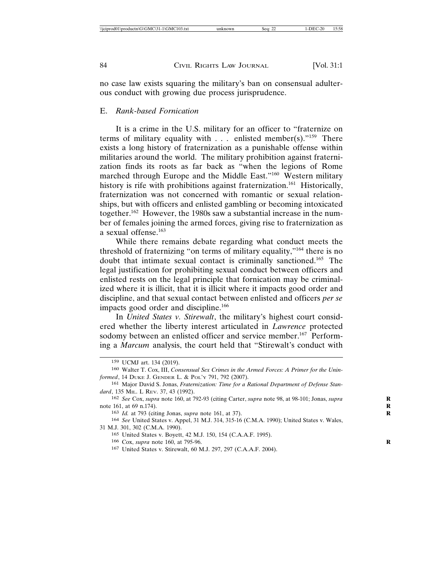no case law exists squaring the military's ban on consensual adulterous conduct with growing due process jurisprudence.

## E. *Rank-based Fornication*

It is a crime in the U.S. military for an officer to "fraternize on terms of military equality with  $\ldots$  enlisted member(s)."<sup>159</sup> There exists a long history of fraternization as a punishable offense within militaries around the world. The military prohibition against fraternization finds its roots as far back as "when the legions of Rome marched through Europe and the Middle East."160 Western military history is rife with prohibitions against fraternization.<sup>161</sup> Historically, fraternization was not concerned with romantic or sexual relationships, but with officers and enlisted gambling or becoming intoxicated together.162 However, the 1980s saw a substantial increase in the number of females joining the armed forces, giving rise to fraternization as a sexual offense.163

While there remains debate regarding what conduct meets the threshold of fraternizing "on terms of military equality,"164 there is no doubt that intimate sexual contact is criminally sanctioned.165 The legal justification for prohibiting sexual conduct between officers and enlisted rests on the legal principle that fornication may be criminalized where it is illicit, that it is illicit where it impacts good order and discipline, and that sexual contact between enlisted and officers *per se* impacts good order and discipline.<sup>166</sup>

In *United States v. Stirewalt*, the military's highest court considered whether the liberty interest articulated in *Lawrence* protected sodomy between an enlisted officer and service member.<sup>167</sup> Performing a *Marcum* analysis, the court held that "Stirewalt's conduct with

<sup>159</sup> UCMJ art. 134 (2019).

<sup>160</sup> Walter T. Cox, III, *Consensual Sex Crimes in the Armed Forces: A Primer for the Uninformed*, 14 DUKE J. GENDER L. & POL'Y 791, 792 (2007).

<sup>161</sup> Major David S. Jonas, *Fraternization: Time for a Rational Department of Defense Standard*, 135 MIL. L REV. 37, 43 (1992).

<sup>162</sup> *See* Cox, *supra* note 160, at 792-93 (citing Carter, *supra* note 98, at 98-101; Jonas, *supra* **R** note 161, at 69 n.174).

<sup>163</sup> *Id.* at 793 (citing Jonas, *supra* note 161, at 37). **R**

<sup>164</sup> *See* United States v. Appel, 31 M.J. 314, 315-16 (C.M.A. 1990); United States v. Wales, 31 M.J. 301, 302 (C.M.A. 1990).

<sup>165</sup> United States v. Boyett, 42 M.J. 150, 154 (C.A.A.F. 1995).

<sup>166</sup> Cox, *supra* note 160, at 795-96. **R**

<sup>167</sup> United States v. Stirewalt, 60 M.J. 297, 297 (C.A.A.F. 2004).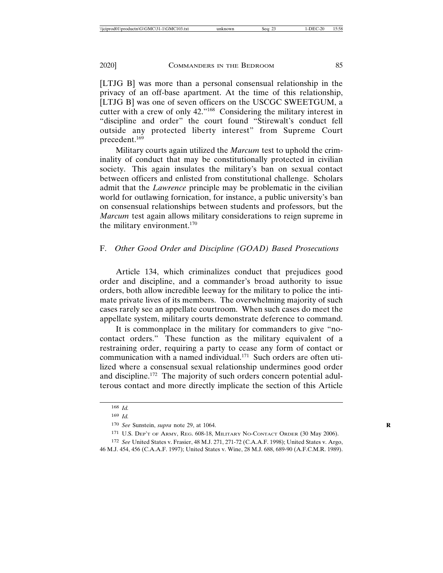[LTJG B] was more than a personal consensual relationship in the privacy of an off-base apartment. At the time of this relationship, [LTJG B] was one of seven officers on the USCGC SWEETGUM, a cutter with a crew of only 42."168 Considering the military interest in "discipline and order" the court found "Stirewalt's conduct fell outside any protected liberty interest" from Supreme Court precedent.<sup>169</sup>

Military courts again utilized the *Marcum* test to uphold the criminality of conduct that may be constitutionally protected in civilian society. This again insulates the military's ban on sexual contact between officers and enlisted from constitutional challenge. Scholars admit that the *Lawrence* principle may be problematic in the civilian world for outlawing fornication, for instance, a public university's ban on consensual relationships between students and professors, but the *Marcum* test again allows military considerations to reign supreme in the military environment.<sup>170</sup>

## F. *Other Good Order and Discipline (GOAD) Based Prosecutions*

Article 134, which criminalizes conduct that prejudices good order and discipline, and a commander's broad authority to issue orders, both allow incredible leeway for the military to police the intimate private lives of its members. The overwhelming majority of such cases rarely see an appellate courtroom. When such cases do meet the appellate system, military courts demonstrate deference to command.

It is commonplace in the military for commanders to give "nocontact orders." These function as the military equivalent of a restraining order, requiring a party to cease any form of contact or communication with a named individual.<sup>171</sup> Such orders are often utilized where a consensual sexual relationship undermines good order and discipline.<sup>172</sup> The majority of such orders concern potential adulterous contact and more directly implicate the section of this Article

<sup>168</sup> *Id.* 

<sup>169</sup> *Id.*

<sup>170</sup> *See* Sunstein, *supra* note 29, at 1064. **R**

<sup>171</sup> U.S. DEP'T OF ARMY, REG. 608-18, MILITARY NO-CONTACT ORDER (30 May 2006).

<sup>172</sup> *See* United States v. Frasier, 48 M.J. 271, 271-72 (C.A.A.F. 1998); United States v. Argo, 46 M.J. 454, 456 (C.A.A.F. 1997); United States v. Wine, 28 M.J. 688, 689-90 (A.F.C.M.R. 1989).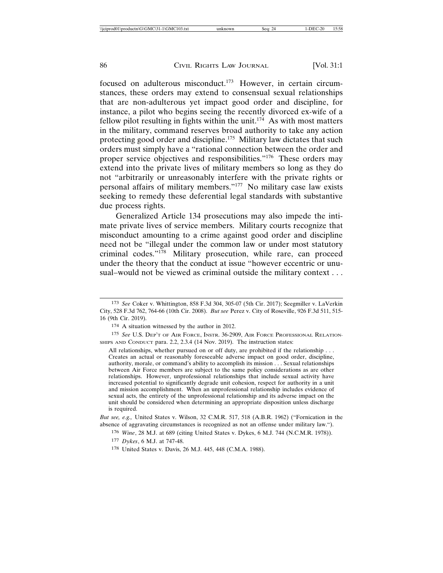focused on adulterous misconduct.173 However, in certain circumstances, these orders may extend to consensual sexual relationships that are non-adulterous yet impact good order and discipline, for instance, a pilot who begins seeing the recently divorced ex-wife of a fellow pilot resulting in fights within the unit.<sup>174</sup> As with most matters in the military, command reserves broad authority to take any action protecting good order and discipline.<sup>175</sup> Military law dictates that such orders must simply have a "rational connection between the order and proper service objectives and responsibilities."176 These orders may extend into the private lives of military members so long as they do not "arbitrarily or unreasonably interfere with the private rights or personal affairs of military members."177 No military case law exists seeking to remedy these deferential legal standards with substantive due process rights.

Generalized Article 134 prosecutions may also impede the intimate private lives of service members. Military courts recognize that misconduct amounting to a crime against good order and discipline need not be "illegal under the common law or under most statutory criminal codes."<sup>178</sup> Military prosecution, while rare, can proceed under the theory that the conduct at issue "however eccentric or unusual–would not be viewed as criminal outside the military context . . .

175 *See* U.S. DEP'T OF AIR FORCE, INSTR. 36-2909, AIR FORCE PROFESSIONAL RELATION-SHIPS AND CONDUCT para. 2.2, 2.3.4 (14 Nov. 2019). The instruction states:

All relationships, whether pursued on or off duty, are prohibited if the relationship . . . Creates an actual or reasonably foreseeable adverse impact on good order, discipline, authority, morale, or command's ability to accomplish its mission . . . Sexual relationships between Air Force members are subject to the same policy considerations as are other relationships. However, unprofessional relationships that include sexual activity have increased potential to significantly degrade unit cohesion, respect for authority in a unit and mission accomplishment. When an unprofessional relationship includes evidence of sexual acts, the entirety of the unprofessional relationship and its adverse impact on the unit should be considered when determining an appropriate disposition unless discharge is required.

*But see, e.g.,* United States v. Wilson, 32 C.M.R. 517, 518 (A.B.R. 1962) ("Fornication in the absence of aggravating circumstances is recognized as not an offense under military law.").

176 *Wine*, 28 M.J. at 689 (citing United States v. Dykes, 6 M.J. 744 (N.C.M.R. 1978)).

177 *Dykes*, 6 M.J. at 747-48.

178 United States v. Davis, 26 M.J. 445, 448 (C.M.A. 1988).

<sup>173</sup> *See* Coker v. Whittington, 858 F.3d 304, 305-07 (5th Cir. 2017); Seegmiller v. LaVerkin City, 528 F.3d 762, 764-66 (10th Cir. 2008). *But see* Perez v. City of Roseville, 926 F.3d 511, 515- 16 (9th Cir. 2019).

<sup>174</sup> A situation witnessed by the author in 2012.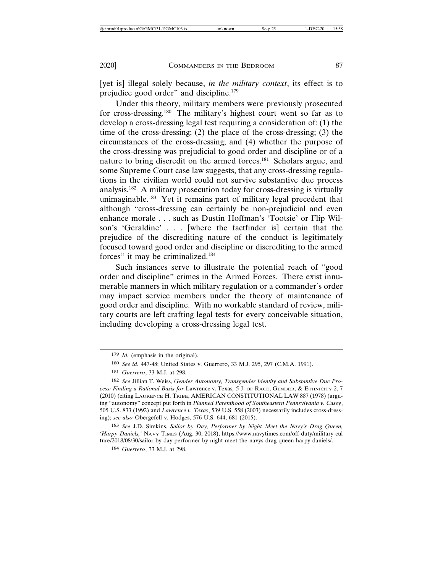[yet is] illegal solely because, *in the military context*, its effect is to prejudice good order" and discipline.179

Under this theory, military members were previously prosecuted for cross-dressing.180 The military's highest court went so far as to develop a cross-dressing legal test requiring a consideration of: (1) the time of the cross-dressing; (2) the place of the cross-dressing; (3) the circumstances of the cross-dressing; and (4) whether the purpose of the cross-dressing was prejudicial to good order and discipline or of a nature to bring discredit on the armed forces.181 Scholars argue, and some Supreme Court case law suggests, that any cross-dressing regulations in the civilian world could not survive substantive due process analysis.182 A military prosecution today for cross-dressing is virtually unimaginable.183 Yet it remains part of military legal precedent that although "cross-dressing can certainly be non-prejudicial and even enhance morale . . . such as Dustin Hoffman's 'Tootsie' or Flip Wilson's 'Geraldine' . . . [where the factfinder is] certain that the prejudice of the discrediting nature of the conduct is legitimately focused toward good order and discipline or discrediting to the armed forces" it may be criminalized.184

Such instances serve to illustrate the potential reach of "good order and discipline" crimes in the Armed Forces. There exist innumerable manners in which military regulation or a commander's order may impact service members under the theory of maintenance of good order and discipline. With no workable standard of review, military courts are left crafting legal tests for every conceivable situation, including developing a cross-dressing legal test.

<sup>179</sup> *Id.* (emphasis in the original).

<sup>180</sup> *See id.* 447-48; United States v. Guerrero, 33 M.J. 295, 297 (C.M.A. 1991).

<sup>181</sup> *Guerrero*, 33 M.J. at 298.

<sup>182</sup> *See* Jillian T. Weiss, *Gender Autonomy, Transgender Identity and Substantive Due Process: Finding a Rational Basis for* Lawrence v. Texas*,* 5 J. OF RACE, GENDER, & ETHNICITY 2, 7 (2010) (citing LAURENCE H. TRIBE, AMERICAN CONSTITUTIONAL LAW 887 (1978) (arguing "autonomy" concept put forth in *Planned Parenthood of Southeastern Pennsylvania v. Casey*, 505 U.S. 833 (1992) and *Lawrence v. Texas*, 539 U.S. 558 (2003) necessarily includes cross-dressing); *see also* Obergefell v. Hodges, 576 U.S. 644, 681 (2015).

<sup>183</sup> *See* J.D. Simkins, *Sailor by Day, Performer by Night–Meet the Navy's Drag Queen, 'Harpy Daniels,'* NAVY TIMES (Aug. 30, 2018), https://www.navytimes.com/off-duty/military-cul ture/2018/08/30/sailor-by-day-performer-by-night-meet-the-navys-drag-queen-harpy-daniels/.

<sup>184</sup> *Guerrero*, 33 M.J. at 298.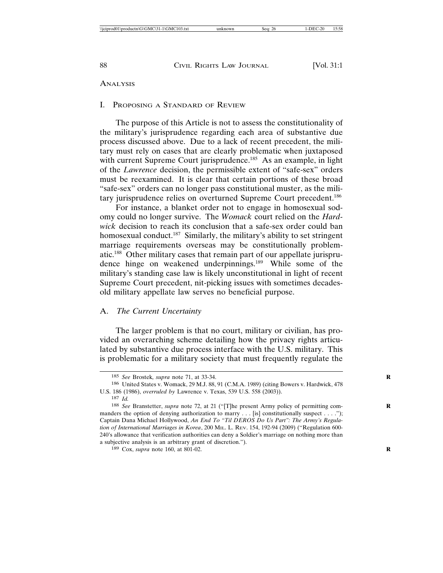#### ANALYSIS

## I. PROPOSING A STANDARD OF REVIEW

The purpose of this Article is not to assess the constitutionality of the military's jurisprudence regarding each area of substantive due process discussed above. Due to a lack of recent precedent, the military must rely on cases that are clearly problematic when juxtaposed with current Supreme Court jurisprudence.<sup>185</sup> As an example, in light of the *Lawrence* decision, the permissible extent of "safe-sex" orders must be reexamined. It is clear that certain portions of these broad "safe-sex" orders can no longer pass constitutional muster, as the military jurisprudence relies on overturned Supreme Court precedent.<sup>186</sup>

For instance, a blanket order not to engage in homosexual sodomy could no longer survive. The *Womack* court relied on the *Hardwick* decision to reach its conclusion that a safe-sex order could ban homosexual conduct.<sup>187</sup> Similarly, the military's ability to set stringent marriage requirements overseas may be constitutionally problematic.188 Other military cases that remain part of our appellate jurisprudence hinge on weakened underpinnings.189 While some of the military's standing case law is likely unconstitutional in light of recent Supreme Court precedent, nit-picking issues with sometimes decadesold military appellate law serves no beneficial purpose.

## A. *The Current Uncertainty*

The larger problem is that no court, military or civilian, has provided an overarching scheme detailing how the privacy rights articulated by substantive due process interface with the U.S. military. This is problematic for a military society that must frequently regulate the

<sup>185</sup> *See* Brostek*, supra* note 71, at 33-34. **R**

<sup>186</sup> United States v. Womack, 29 M.J. 88, 91 (C.M.A. 1989) (citing Bowers v. Hardwick, 478 U.S. 186 (1986), *overruled by* Lawrence v. Texas, 539 U.S. 558 (2003)).

<sup>187</sup> *Id.*

<sup>&</sup>lt;sup>188</sup> *See Branstetter, supra* note 72, at 21 ("[T]he present Army policy of permitting commanders the option of denying authorization to marry  $\dots$  [is] constitutionally suspect  $\dots$ ."); Captain Dana Michael Hollywood, *An End To "Til DEROS Do Us Part": The Army's Regulation of International Marriages in Korea*, 200 MIL. L. REV. 154, 192-94 (2009) ("Regulation 600- 240's allowance that verification authorities can deny a Soldier's marriage on nothing more than a subjective analysis is an arbitrary grant of discretion.").

<sup>189</sup> Cox, *supra* note 160, at 801-02. **R**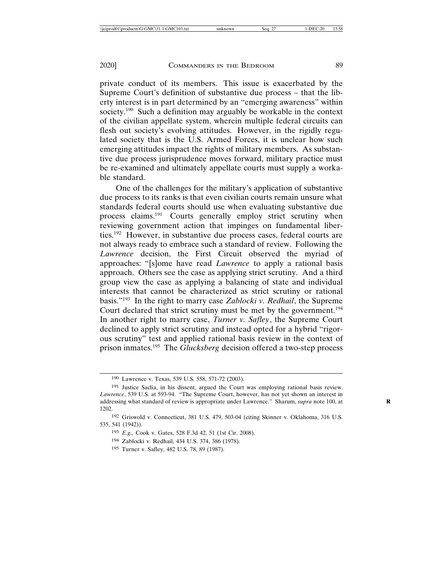private conduct of its members. This issue is exacerbated by the Supreme Court's definition of substantive due process – that the liberty interest is in part determined by an "emerging awareness" within society.<sup>190</sup> Such a definition may arguably be workable in the context of the civilian appellate system, wherein multiple federal circuits can flesh out society's evolving attitudes. However, in the rigidly regulated society that is the U.S. Armed Forces, it is unclear how such emerging attitudes impact the rights of military members. As substantive due process jurisprudence moves forward, military practice must be re-examined and ultimately appellate courts must supply a workable standard.

One of the challenges for the military's application of substantive due process to its ranks is that even civilian courts remain unsure what standards federal courts should use when evaluating substantive due process claims.191 Courts generally employ strict scrutiny when reviewing government action that impinges on fundamental liberties.192 However, in substantive due process cases, federal courts are not always ready to embrace such a standard of review. Following the *Lawrence* decision, the First Circuit observed the myriad of approaches: "[s]ome have read *Lawrence* to apply a rational basis approach. Others see the case as applying strict scrutiny. And a third group view the case as applying a balancing of state and individual interests that cannot be characterized as strict scrutiny or rational basis."193 In the right to marry case *Zablocki v. Redhail*, the Supreme Court declared that strict scrutiny must be met by the government.<sup>194</sup> In another right to marry case, *Turner v. Safley*, the Supreme Court declined to apply strict scrutiny and instead opted for a hybrid "rigorous scrutiny" test and applied rational basis review in the context of prison inmates.195 The *Glucksberg* decision offered a two-step process

<sup>190</sup> Lawrence v. Texas, 539 U.S. 558, 571-72 (2003).

<sup>191</sup> Justice Saclia, in his dissent, argued the Court was employing rational basis review. *Lawrence*, 539 U.S. at 593-94. "The Supreme Court, however, has not yet shown an interest in addressing what standard of review is appropriate under Lawrence." Sharum, *supra* note 100, at **R** 1202.

<sup>192</sup> Griswold v. Connecticut, 381 U.S. 479, 503-04 (citing Skinner v. Oklahoma, 316 U.S. 535, 541 (1942)).

<sup>193</sup> *E.g.,* Cook v. Gates, 528 F.3d 42, 51 (1st Cir. 2008).

<sup>194</sup> Zablocki v. Redhail, 434 U.S. 374, 386 (1978).

<sup>195</sup> Turner v. Safley, 482 U.S. 78, 89 (1987).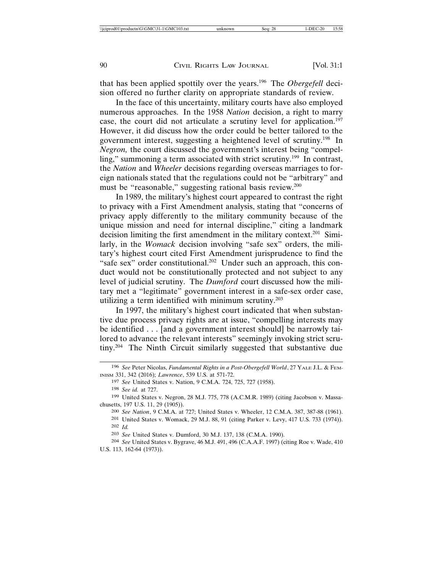that has been applied spottily over the years.196 The *Obergefell* decision offered no further clarity on appropriate standards of review.

In the face of this uncertainty, military courts have also employed numerous approaches. In the 1958 *Nation* decision, a right to marry case, the court did not articulate a scrutiny level for application.197 However, it did discuss how the order could be better tailored to the government interest, suggesting a heightened level of scrutiny.198 In *Negron,* the court discussed the government's interest being "compelling," summoning a term associated with strict scrutiny.<sup>199</sup> In contrast, the *Nation* and *Wheeler* decisions regarding overseas marriages to foreign nationals stated that the regulations could not be "arbitrary" and must be "reasonable," suggesting rational basis review.200

In 1989, the military's highest court appeared to contrast the right to privacy with a First Amendment analysis, stating that "concerns of privacy apply differently to the military community because of the unique mission and need for internal discipline," citing a landmark decision limiting the first amendment in the military context.<sup>201</sup> Similarly, in the *Womack* decision involving "safe sex" orders, the military's highest court cited First Amendment jurisprudence to find the "safe sex" order constitutional.<sup>202</sup> Under such an approach, this conduct would not be constitutionally protected and not subject to any level of judicial scrutiny. The *Dumford* court discussed how the military met a "legitimate" government interest in a safe-sex order case, utilizing a term identified with minimum scrutiny.203

In 1997, the military's highest court indicated that when substantive due process privacy rights are at issue, "compelling interests may be identified . . . [and a government interest should] be narrowly tailored to advance the relevant interests" seemingly invoking strict scrutiny.204 The Ninth Circuit similarly suggested that substantive due

<sup>196</sup> *See* Peter Nicolas, *Fundamental Rights in a Post-Obergefell World*, 27 YALE J.L. & FEM-INISM 331, 342 (2016); *Lawrence*, 539 U.S. at 571-72.

<sup>197</sup> *See* United States v. Nation, 9 C.M.A. 724, 725, 727 (1958).

<sup>198</sup> *See id.* at 727.

<sup>199</sup> United States v. Negron, 28 M.J. 775, 778 (A.C.M.R. 1989) (citing Jacobson v. Massachusetts, 197 U.S. 11, 29 (1905)).

<sup>200</sup> *See Nation*, 9 C.M.A. at 727; United States v. Wheeler, 12 C.M.A. 387, 387-88 (1961).

<sup>201</sup> United States v. Womack, 29 M.J. 88, 91 (citing Parker v. Levy, 417 U.S. 733 (1974)). 202 *Id.*

<sup>203</sup> *See* United States v. Dumford, 30 M.J. 137, 138 (C.M.A. 1990).

<sup>204</sup> *See* United States v. Bygrave, 46 M.J. 491, 496 (C.A.A.F. 1997) (citing Roe v. Wade, 410 U.S. 113, 162-64 (1973)).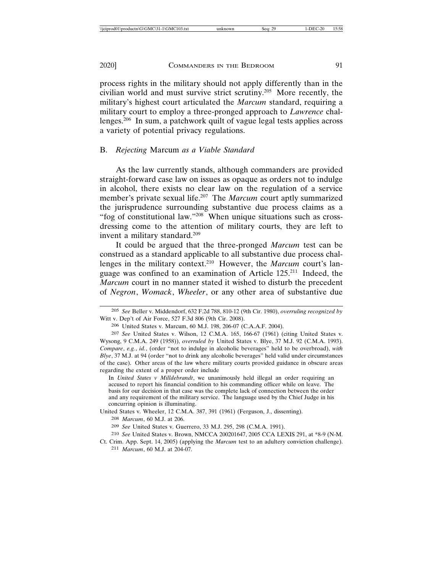process rights in the military should not apply differently than in the civilian world and must survive strict scrutiny.205 More recently, the military's highest court articulated the *Marcum* standard, requiring a military court to employ a three-pronged approach to *Lawrence* challenges.206 In sum, a patchwork quilt of vague legal tests applies across a variety of potential privacy regulations.

#### B. *Rejecting* Marcum *as a Viable Standard*

As the law currently stands, although commanders are provided straight-forward case law on issues as opaque as orders not to indulge in alcohol, there exists no clear law on the regulation of a service member's private sexual life.207 The *Marcum* court aptly summarized the jurisprudence surrounding substantive due process claims as a "fog of constitutional law."208 When unique situations such as crossdressing come to the attention of military courts, they are left to invent a military standard.209

It could be argued that the three-pronged *Marcum* test can be construed as a standard applicable to all substantive due process challenges in the military context.210 However, the *Marcum* court's language was confined to an examination of Article 125.211 Indeed, the *Marcum* court in no manner stated it wished to disturb the precedent of *Negron*, *Womack*, *Wheeler*, or any other area of substantive due

In *United States v Milldebrandt*, we unanimously held illegal an order requiring an accused to report his financial condition to his commanding officer while on leave. The basis for our decision in that case was the complete lack of connection between the order and any requirement of the military service. The language used by the Chief Judge in his concurring opinion is illuminating.

United States v. Wheeler, 12 C.M.A. 387, 391 (1961) (Ferguson, J., dissenting).

<sup>205</sup> *See* Beller v. Middendorf, 632 F.2d 788, 810-12 (9th Cir. 1980), *overruling recognized by* Witt v. Dep't of Air Force, 527 F.3d 806 (9th Cir. 2008).

<sup>206</sup> United States v. Marcum, 60 M.J. 198, 206-07 (C.A.A.F. 2004).

<sup>207</sup> *See* United States v. Wilson, 12 C.M.A. 165, 166-67 (1961) (citing United States v. Wysong, 9 C.M.A. 249 (1958)), *overruled by* United States v. Blye, 37 M.J. 92 (C.M.A. 1993). *Compare*, *e.g.*, *id.*, (order "not to indulge in alcoholic beverages" held to be overbroad), *with Blye*, 37 M.J. at 94 (order "not to drink any alcoholic beverages" held valid under circumstances of the case). Other areas of the law where military courts provided guidance in obscure areas regarding the extent of a proper order include

<sup>208</sup> *Marcum*, 60 M.J. at 206.

<sup>209</sup> *See* United States v. Guerrero, 33 M.J. 295, 298 (C.M.A. 1991).

<sup>210</sup> *See* United States v. Brown, NMCCA 200201647, 2005 CCA LEXIS 291, at \*8-9 (N-M.

Ct. Crim. App. Sept. 14, 2005) (applying the *Marcum* test to an adultery conviction challenge). 211 *Marcum*, 60 M.J. at 204-07.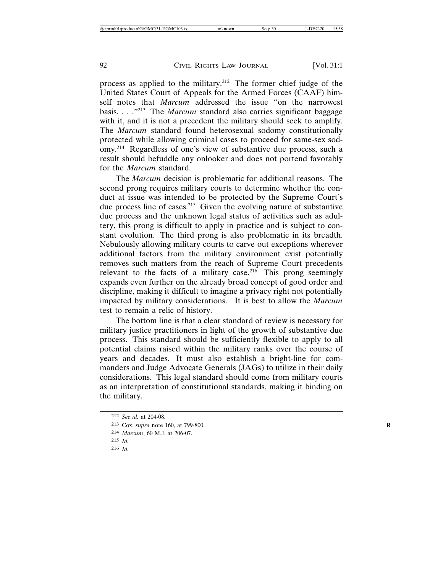process as applied to the military.212 The former chief judge of the United States Court of Appeals for the Armed Forces (CAAF) himself notes that *Marcum* addressed the issue "on the narrowest basis. . . .<sup>"213</sup> The *Marcum* standard also carries significant baggage with it, and it is not a precedent the military should seek to amplify. The *Marcum* standard found heterosexual sodomy constitutionally protected while allowing criminal cases to proceed for same-sex sodomy.214 Regardless of one's view of substantive due process, such a result should befuddle any onlooker and does not portend favorably for the *Marcum* standard.

The *Marcum* decision is problematic for additional reasons. The second prong requires military courts to determine whether the conduct at issue was intended to be protected by the Supreme Court's due process line of cases.<sup>215</sup> Given the evolving nature of substantive due process and the unknown legal status of activities such as adultery, this prong is difficult to apply in practice and is subject to constant evolution. The third prong is also problematic in its breadth. Nebulously allowing military courts to carve out exceptions wherever additional factors from the military environment exist potentially removes such matters from the reach of Supreme Court precedents relevant to the facts of a military case.<sup>216</sup> This prong seemingly expands even further on the already broad concept of good order and discipline, making it difficult to imagine a privacy right not potentially impacted by military considerations. It is best to allow the *Marcum* test to remain a relic of history.

The bottom line is that a clear standard of review is necessary for military justice practitioners in light of the growth of substantive due process. This standard should be sufficiently flexible to apply to all potential claims raised within the military ranks over the course of years and decades. It must also establish a bright-line for commanders and Judge Advocate Generals (JAGs) to utilize in their daily considerations. This legal standard should come from military courts as an interpretation of constitutional standards, making it binding on the military.

216 *Id.*

<sup>212</sup> *See id.* at 204-08.

<sup>213</sup> Cox, *supra* note 160, at 799-800. **R**

<sup>214</sup> *Marcum*, 60 M.J. at 206-07.

<sup>215</sup> *Id.*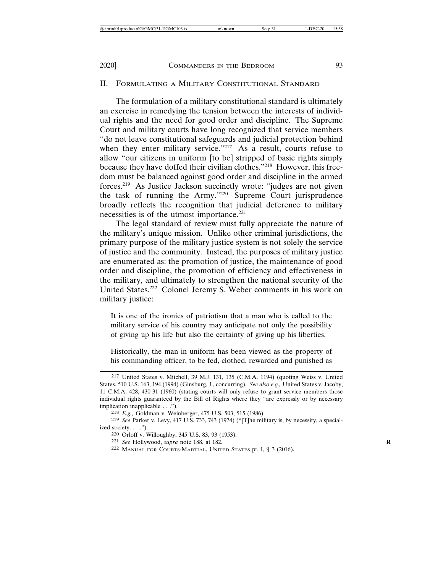#### II. FORMULATING A MILITARY CONSTITUTIONAL STANDARD

The formulation of a military constitutional standard is ultimately an exercise in remedying the tension between the interests of individual rights and the need for good order and discipline. The Supreme Court and military courts have long recognized that service members "do not leave constitutional safeguards and judicial protection behind when they enter military service."<sup>217</sup> As a result, courts refuse to allow "our citizens in uniform [to be] stripped of basic rights simply because they have doffed their civilian clothes."218 However, this freedom must be balanced against good order and discipline in the armed forces.219 As Justice Jackson succinctly wrote: "judges are not given the task of running the Army."220 Supreme Court jurisprudence broadly reflects the recognition that judicial deference to military necessities is of the utmost importance.<sup>221</sup>

The legal standard of review must fully appreciate the nature of the military's unique mission. Unlike other criminal jurisdictions, the primary purpose of the military justice system is not solely the service of justice and the community. Instead, the purposes of military justice are enumerated as: the promotion of justice, the maintenance of good order and discipline, the promotion of efficiency and effectiveness in the military, and ultimately to strengthen the national security of the United States.222 Colonel Jeremy S. Weber comments in his work on military justice:

It is one of the ironies of patriotism that a man who is called to the military service of his country may anticipate not only the possibility of giving up his life but also the certainty of giving up his liberties.

Historically, the man in uniform has been viewed as the property of his commanding officer, to be fed, clothed, rewarded and punished as

<sup>217</sup> United States v. Mitchell, 39 M.J. 131, 135 (C.M.A. 1194) (quoting Weiss v. United States, 510 U.S. 163, 194 (1994) (Ginsburg, J., concurring). *See also e.g.,* United States v. Jacoby, 11 C.M.A. 428, 430-31 (1960) (stating courts will only refuse to grant service members those individual rights guaranteed by the Bill of Rights where they "are expressly or by necessary implication inapplicable . . .").

<sup>218</sup> *E.g.,* Goldman v. Weinberger, 475 U.S. 503, 515 (1986).

<sup>219</sup> *See* Parker v. Levy, 417 U.S. 733, 743 (1974) ("[T]he military is, by necessity, a specialized society. . . .").

<sup>220</sup> Orloff v. Willoughby, 345 U.S. 83, 93 (1953).

<sup>221</sup> *See* Hollywood, *supra* note 188, at 182. **R**

<sup>222</sup> MANUAL FOR COURTS-MARTIAL, UNITED STATES pt. I, ¶ 3 (2016).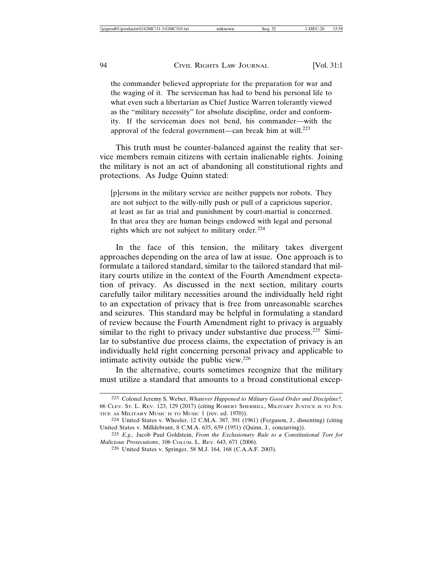the commander believed appropriate for the preparation for war and the waging of it. The serviceman has had to bend his personal life to what even such a libertarian as Chief Justice Warren tolerantly viewed as the "military necessity" for absolute discipline, order and conformity. If the serviceman does not bend, his commander—with the approval of the federal government—can break him at will. $^{223}$ 

This truth must be counter-balanced against the reality that service members remain citizens with certain inalienable rights. Joining the military is not an act of abandoning all constitutional rights and protections. As Judge Quinn stated:

[p]ersons in the military service are neither puppets nor robots. They are not subject to the willy-nilly push or pull of a capricious superior, at least as far as trial and punishment by court-martial is concerned. In that area they are human beings endowed with legal and personal rights which are not subject to military order*.* 224

In the face of this tension, the military takes divergent approaches depending on the area of law at issue. One approach is to formulate a tailored standard, similar to the tailored standard that military courts utilize in the context of the Fourth Amendment expectation of privacy. As discussed in the next section, military courts carefully tailor military necessities around the individually held right to an expectation of privacy that is free from unreasonable searches and seizures. This standard may be helpful in formulating a standard of review because the Fourth Amendment right to privacy is arguably similar to the right to privacy under substantive due process.<sup>225</sup> Similar to substantive due process claims, the expectation of privacy is an individually held right concerning personal privacy and applicable to intimate activity outside the public view.226

In the alternative, courts sometimes recognize that the military must utilize a standard that amounts to a broad constitutional excep-

<sup>223</sup> Colonel Jeremy S. Weber, *Whatever Happened to Military Good Order and Discipline?,* 66 CLEV. ST. L. REV. 123, 129 (2017) (citing ROBERT SHERRILL, MILITARY JUSTICE IS TO JUS-TICE AS MILITARY MUSIC IS TO MUSIC 1 (rev. ed. 1970)).

<sup>224</sup> United States v. Wheeler, 12 C.M.A. 387, 391 (1961) (Ferguson, J., dissenting) (citing United States v. Milldebrant, 8 C.M.A. 635, 639 (1951) (Quinn, J., concurring)).

<sup>225</sup> *E.g.,* Jacob Paul Goldstein, *From the Exclusionary Rule to a Constitutional Tort for Malicious Prosecutions*, 106 COLUM. L. REV. 643, 671 (2006).

<sup>226</sup> United States v. Springer, 58 M.J. 164, 168 (C.A.A.F. 2003).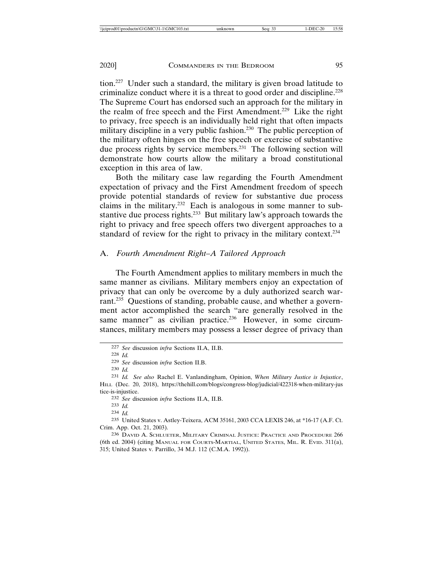tion.227 Under such a standard, the military is given broad latitude to criminalize conduct where it is a threat to good order and discipline.<sup>228</sup> The Supreme Court has endorsed such an approach for the military in the realm of free speech and the First Amendment.229 Like the right to privacy, free speech is an individually held right that often impacts military discipline in a very public fashion.<sup>230</sup> The public perception of the military often hinges on the free speech or exercise of substantive due process rights by service members.<sup>231</sup> The following section will demonstrate how courts allow the military a broad constitutional exception in this area of law.

Both the military case law regarding the Fourth Amendment expectation of privacy and the First Amendment freedom of speech provide potential standards of review for substantive due process claims in the military.232 Each is analogous in some manner to substantive due process rights.<sup>233</sup> But military law's approach towards the right to privacy and free speech offers two divergent approaches to a standard of review for the right to privacy in the military context.<sup>234</sup>

## A. *Fourth Amendment Right–A Tailored Approach*

The Fourth Amendment applies to military members in much the same manner as civilians. Military members enjoy an expectation of privacy that can only be overcome by a duly authorized search warrant.235 Questions of standing, probable cause, and whether a government actor accomplished the search "are generally resolved in the same manner" as civilian practice.<sup>236</sup> However, in some circumstances, military members may possess a lesser degree of privacy than

232 *See* discussion *infra* Sections II.A, II.B.

233 *Id.*

234 *Id.*

<sup>227</sup> *See* discussion *infra* Sections II.A, II.B.

<sup>228</sup> *Id.*

<sup>229</sup> *See* discussion *infra* Section II.B.

<sup>230</sup> *Id.*

<sup>231</sup> *Id. See also* Rachel E. Vanlandingham, Opinion, *When Military Justice is Injustice*, HILL (Dec. 20, 2018), https://thehill.com/blogs/congress-blog/judicial/422318-when-military-jus tice-is-injustice.

<sup>235</sup> United States v. Astley-Teixera, ACM 35161, 2003 CCA LEXIS 246, at \*16-17 (A.F. Ct. Crim. App. Oct. 21, 2003).

<sup>236</sup> DAVID A. SCHLUETER, MILITARY CRIMINAL JUSTICE: PRACTICE AND PROCEDURE 266 (6th ed. 2004) (citing MANUAL FOR COURTS-MARTIAL, UNITED STATES, MIL. R. EVID. 311(a), 315; United States v. Parrillo, 34 M.J. 112 (C.M.A. 1992)).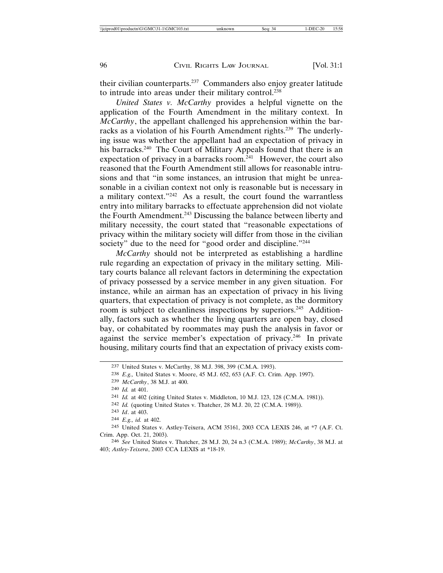their civilian counterparts.237 Commanders also enjoy greater latitude to intrude into areas under their military control.<sup>238</sup>

*United States v. McCarthy* provides a helpful vignette on the application of the Fourth Amendment in the military context. In *McCarthy*, the appellant challenged his apprehension within the barracks as a violation of his Fourth Amendment rights.<sup>239</sup> The underlying issue was whether the appellant had an expectation of privacy in his barracks.<sup>240</sup> The Court of Military Appeals found that there is an expectation of privacy in a barracks room. $241$  However, the court also reasoned that the Fourth Amendment still allows for reasonable intrusions and that "in some instances, an intrusion that might be unreasonable in a civilian context not only is reasonable but is necessary in a military context."242 As a result, the court found the warrantless entry into military barracks to effectuate apprehension did not violate the Fourth Amendment.<sup>243</sup> Discussing the balance between liberty and military necessity, the court stated that "reasonable expectations of privacy within the military society will differ from those in the civilian society" due to the need for "good order and discipline."<sup>244</sup>

*McCarthy* should not be interpreted as establishing a hardline rule regarding an expectation of privacy in the military setting. Military courts balance all relevant factors in determining the expectation of privacy possessed by a service member in any given situation. For instance, while an airman has an expectation of privacy in his living quarters, that expectation of privacy is not complete, as the dormitory room is subject to cleanliness inspections by superiors.<sup>245</sup> Additionally, factors such as whether the living quarters are open bay, closed bay, or cohabitated by roommates may push the analysis in favor or against the service member's expectation of privacy.<sup>246</sup> In private housing, military courts find that an expectation of privacy exists com-

<sup>237</sup> United States v. McCarthy, 38 M.J. 398, 399 (C.M.A. 1993).

<sup>238</sup> *E.g.,* United States v. Moore, 45 M.J. 652, 653 (A.F. Ct. Crim. App. 1997).

<sup>239</sup> *McCarthy*, 38 M.J. at 400.

<sup>240</sup> *Id.* at 401.

<sup>241</sup> *Id.* at 402 (citing United States v. Middleton, 10 M.J. 123, 128 (C.M.A. 1981)).

<sup>242</sup> *Id.* (quoting United States v. Thatcher, 28 M.J. 20, 22 (C.M.A. 1989)).

<sup>243</sup> *Id*. at 403.

<sup>244</sup> *E.g., id.* at 402.

<sup>245</sup> United States v. Astley-Teixera, ACM 35161, 2003 CCA LEXIS 246, at \*7 (A.F. Ct. Crim. App. Oct. 21, 2003).

<sup>246</sup> *See* United States v. Thatcher, 28 M.J. 20, 24 n.3 (C.M.A. 1989); *McCarthy*, 38 M.J. at 403; *Astley-Teixera*, 2003 CCA LEXIS at \*18-19.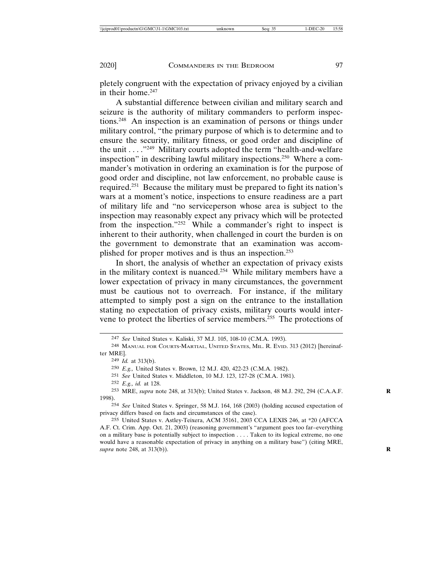pletely congruent with the expectation of privacy enjoyed by a civilian in their home.<sup>247</sup>

A substantial difference between civilian and military search and seizure is the authority of military commanders to perform inspections.248 An inspection is an examination of persons or things under military control, "the primary purpose of which is to determine and to ensure the security, military fitness, or good order and discipline of the unit  $\dots$ <sup>249</sup> Military courts adopted the term "health-and-welfare" inspection" in describing lawful military inspections.250 Where a commander's motivation in ordering an examination is for the purpose of good order and discipline, not law enforcement, no probable cause is required.251 Because the military must be prepared to fight its nation's wars at a moment's notice, inspections to ensure readiness are a part of military life and "no serviceperson whose area is subject to the inspection may reasonably expect any privacy which will be protected from the inspection."252 While a commander's right to inspect is inherent to their authority, when challenged in court the burden is on the government to demonstrate that an examination was accomplished for proper motives and is thus an inspection.253

In short, the analysis of whether an expectation of privacy exists in the military context is nuanced.254 While military members have a lower expectation of privacy in many circumstances, the government must be cautious not to overreach. For instance, if the military attempted to simply post a sign on the entrance to the installation stating no expectation of privacy exists, military courts would intervene to protect the liberties of service members.255 The protections of

254 *See* United States v. Springer, 58 M.J. 164, 168 (2003) (holding accused expectation of privacy differs based on facts and circumstances of the case).

<sup>247</sup> *See* United States v. Kaliski, 37 M.J. 105, 108-10 (C.M.A. 1993).

<sup>248</sup> MANUAL FOR COURTS-MARTIAL, UNITED STATES, MIL. R. EVID. 313 (2012) [hereinafter MRE].

<sup>249</sup> *Id.* at 313(b).

<sup>250</sup> *E.g.,* United States v. Brown, 12 M.J. 420, 422-23 (C.M.A. 1982).

<sup>251</sup> *See* United States v. Middleton, 10 M.J. 123, 127-28 (C.M.A. 1981).

<sup>252</sup> *E.g., id.* at 128.

<sup>253</sup> MRE, *supra* note 248, at 313(b); United States v. Jackson, 48 M.J. 292, 294 (C.A.A.F. **R** 1998).

<sup>255</sup> United States v. Astley-Teixera, ACM 35161, 2003 CCA LEXIS 246, at \*20 (AFCCA A.F. Ct. Crim. App. Oct. 21, 2003) (reasoning government's "argument goes too far–everything on a military base is potentially subject to inspection . . . . Taken to its logical extreme, no one would have a reasonable expectation of privacy in anything on a military base") (citing MRE, *supra* note 248, at 313(b)). **R**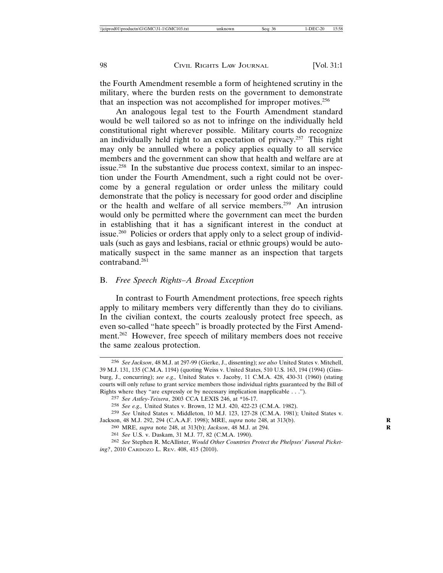the Fourth Amendment resemble a form of heightened scrutiny in the military, where the burden rests on the government to demonstrate that an inspection was not accomplished for improper motives.<sup>256</sup>

An analogous legal test to the Fourth Amendment standard would be well tailored so as not to infringe on the individually held constitutional right wherever possible. Military courts do recognize an individually held right to an expectation of privacy.257 This right may only be annulled where a policy applies equally to all service members and the government can show that health and welfare are at issue.258 In the substantive due process context, similar to an inspection under the Fourth Amendment, such a right could not be overcome by a general regulation or order unless the military could demonstrate that the policy is necessary for good order and discipline or the health and welfare of all service members.259 An intrusion would only be permitted where the government can meet the burden in establishing that it has a significant interest in the conduct at issue.<sup>260</sup> Policies or orders that apply only to a select group of individuals (such as gays and lesbians, racial or ethnic groups) would be automatically suspect in the same manner as an inspection that targets contraband.261

### B. *Free Speech Rights–A Broad Exception*

In contrast to Fourth Amendment protections, free speech rights apply to military members very differently than they do to civilians. In the civilian context, the courts zealously protect free speech, as even so-called "hate speech" is broadly protected by the First Amendment.262 However, free speech of military members does not receive the same zealous protection.

<sup>256</sup> *See Jackson*, 48 M.J. at 297-99 (Gierke, J., dissenting); *see also* United States v. Mitchell, 39 M.J. 131, 135 (C.M.A. 1194) (quoting Weiss v. United States, 510 U.S. 163, 194 (1994) (Ginsburg, J., concurring); *see e.g.,* United States v. Jacoby, 11 C.M.A. 428, 430-31 (1960) (stating courts will only refuse to grant service members those individual rights guaranteed by the Bill of Rights where they "are expressly or by necessary implication inapplicable . . .").

<sup>257</sup> *See Astley-Teixera*, 2003 CCA LEXIS 246, at \*16-17.

<sup>258</sup> *See e.g.,* United States v. Brown, 12 M.J. 420, 422-23 (C.M.A. 1982).

<sup>259</sup> *See* United States v. Middleton, 10 M.J. 123, 127-28 (C.M.A. 1981); United States v. Jackson, 48 M.J. 292, 294 (C.A.A.F. 1998); MRE, *supra* note 248, at 313(b). **R**

<sup>260</sup> MRE, *supra* note 248, at 313(b); *Jackson*, 48 M.J. at 294. **R**

<sup>261</sup> *See* U.S. v. Daskam, 31 M.J. 77, 82 (C.M.A. 1990).

<sup>262</sup> *See* Stephen R. McAllister, *Would Other Countries Protect the Phelpses' Funeral Picketing?*, 2010 CARDOZO L. REV. 408, 415 (2010).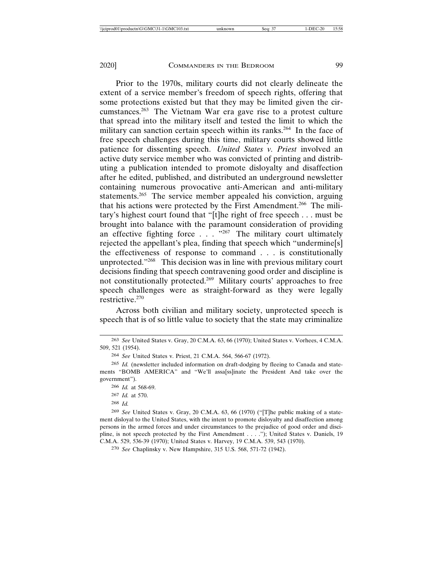Prior to the 1970s, military courts did not clearly delineate the extent of a service member's freedom of speech rights, offering that some protections existed but that they may be limited given the circumstances.263 The Vietnam War era gave rise to a protest culture that spread into the military itself and tested the limit to which the military can sanction certain speech within its ranks.<sup>264</sup> In the face of free speech challenges during this time, military courts showed little patience for dissenting speech. *United States v. Priest* involved an active duty service member who was convicted of printing and distributing a publication intended to promote disloyalty and disaffection after he edited, published, and distributed an underground newsletter containing numerous provocative anti-American and anti-military statements.<sup>265</sup> The service member appealed his conviction, arguing that his actions were protected by the First Amendment.266 The military's highest court found that "[t]he right of free speech . . . must be brought into balance with the paramount consideration of providing an effective fighting force  $\ldots$  .  $\ldots$   $\ldots$  The military court ultimately rejected the appellant's plea, finding that speech which "undermine[s] the effectiveness of response to command . . . is constitutionally unprotected."268 This decision was in line with previous military court decisions finding that speech contravening good order and discipline is not constitutionally protected.269 Military courts' approaches to free speech challenges were as straight-forward as they were legally restrictive.270

Across both civilian and military society, unprotected speech is speech that is of so little value to society that the state may criminalize

268 *Id.*

<sup>263</sup> *See* United States v. Gray, 20 C.M.A. 63, 66 (1970); United States v. Vorhees, 4 C.M.A. 509, 521 (1954).

<sup>264</sup> *See* United States v. Priest, 21 C.M.A. 564, 566-67 (1972).

<sup>265</sup> *Id.* (newsletter included information on draft-dodging by fleeing to Canada and statements "BOMB AMERICA" and "We'll assa[ss]inate the President And take over the government").

<sup>266</sup> *Id.* at 568-69.

<sup>267</sup> *Id.* at 570.

<sup>269</sup> *See* United States v. Gray, 20 C.M.A. 63, 66 (1970) ("[T]he public making of a statement disloyal to the United States, with the intent to promote disloyalty and disaffection among persons in the armed forces and under circumstances to the prejudice of good order and discipline, is not speech protected by the First Amendment . . . ."); United States v. Daniels, 19 C.M.A. 529, 536-39 (1970); United States v. Harvey, 19 C.M.A. 539, 543 (1970).

<sup>270</sup> *See* Chaplinsky v. New Hampshire, 315 U.S. 568, 571-72 (1942).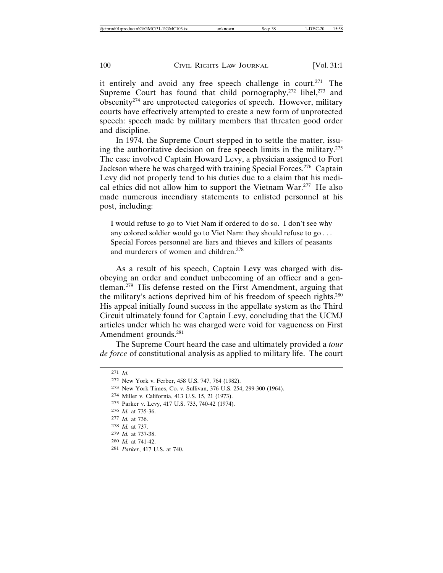it entirely and avoid any free speech challenge in court.<sup>271</sup> The Supreme Court has found that child pornography,  $272$  libel,  $273$  and obscenity<sup>274</sup> are unprotected categories of speech. However, military courts have effectively attempted to create a new form of unprotected speech: speech made by military members that threaten good order and discipline.

In 1974, the Supreme Court stepped in to settle the matter, issuing the authoritative decision on free speech limits in the military.275 The case involved Captain Howard Levy, a physician assigned to Fort Jackson where he was charged with training Special Forces.<sup>276</sup> Captain Levy did not properly tend to his duties due to a claim that his medical ethics did not allow him to support the Vietnam War.277 He also made numerous incendiary statements to enlisted personnel at his post, including:

I would refuse to go to Viet Nam if ordered to do so. I don't see why any colored soldier would go to Viet Nam: they should refuse to go . . . Special Forces personnel are liars and thieves and killers of peasants and murderers of women and children.<sup>278</sup>

As a result of his speech, Captain Levy was charged with disobeying an order and conduct unbecoming of an officer and a gentleman.279 His defense rested on the First Amendment, arguing that the military's actions deprived him of his freedom of speech rights.280 His appeal initially found success in the appellate system as the Third Circuit ultimately found for Captain Levy, concluding that the UCMJ articles under which he was charged were void for vagueness on First Amendment grounds.<sup>281</sup>

The Supreme Court heard the case and ultimately provided a *tour de force* of constitutional analysis as applied to military life. The court

275 Parker v. Levy, 417 U.S. 733, 740-42 (1974).

- 280 *Id.* at 741-42.
- 281 *Parker*, 417 U.S. at 740.

<sup>271</sup> *Id.*

<sup>272</sup> New York v. Ferber, 458 U.S. 747, 764 (1982).

<sup>273</sup> New York Times, Co. v. Sullivan, 376 U.S. 254, 299-300 (1964).

<sup>274</sup> Miller v. California, 413 U.S. 15, 21 (1973).

<sup>276</sup> *Id.* at 735-36.

<sup>277</sup> *Id.* at 736.

<sup>278</sup> *Id.* at 737.

<sup>279</sup> *Id.* at 737-38.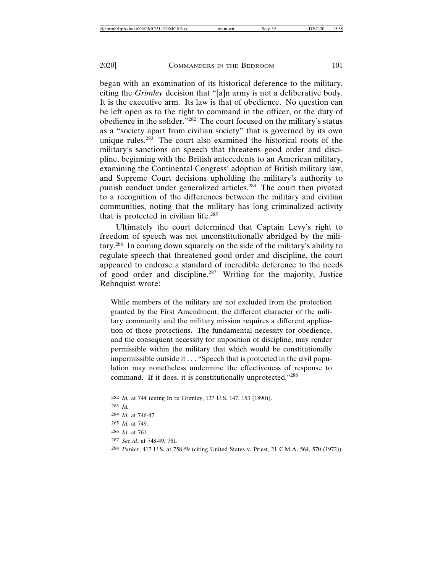began with an examination of its historical deference to the military, citing the *Grimley* decision that "[a]n army is not a deliberative body. It is the executive arm. Its law is that of obedience. No question can be left open as to the right to command in the officer, or the duty of obedience in the solider."282 The court focused on the military's status as a "society apart from civilian society" that is governed by its own unique rules. $283$  The court also examined the historical roots of the military's sanctions on speech that threatens good order and discipline, beginning with the British antecedents to an American military, examining the Continental Congress' adoption of British military law, and Supreme Court decisions upholding the military's authority to punish conduct under generalized articles.284 The court then pivoted to a recognition of the differences between the military and civilian communities, noting that the military has long criminalized activity that is protected in civilian life.285

Ultimately the court determined that Captain Levy's right to freedom of speech was not unconstitutionally abridged by the military.286 In coming down squarely on the side of the military's ability to regulate speech that threatened good order and discipline, the court appeared to endorse a standard of incredible deference to the needs of good order and discipline.287 Writing for the majority, Justice Rehnquist wrote:

While members of the military are not excluded from the protection granted by the First Amendment, the different character of the military community and the military mission requires a different application of those protections. The fundamental necessity for obedience, and the consequent necessity for imposition of discipline, may render permissible within the military that which would be constitutionally impermissible outside it . . . "Speech that is protected in the civil population may nonetheless undermine the effectiveness of response to command. If it does, it is constitutionally unprotected."288

<sup>282</sup> *Id.* at 744 (citing In re Grimley, 137 U.S. 147, 153 (1890)).

<sup>283</sup> *Id.*

<sup>284</sup> *Id.* at 746-47.

<sup>285</sup> *Id.* at 749.

<sup>286</sup> *Id.* at 761.

<sup>287</sup> *See id.* at 748-49, 761.

<sup>288</sup> *Parker*, 417 U.S. at 758-59 (citing United States v. Priest, 21 C.M.A. 564, 570 (1972)).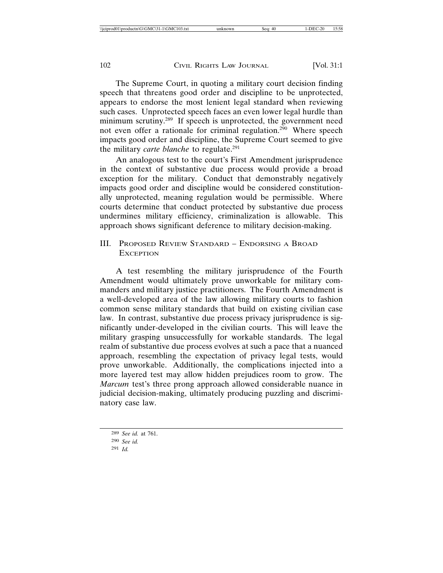The Supreme Court, in quoting a military court decision finding speech that threatens good order and discipline to be unprotected, appears to endorse the most lenient legal standard when reviewing such cases. Unprotected speech faces an even lower legal hurdle than minimum scrutiny.<sup>289</sup> If speech is unprotected, the government need not even offer a rationale for criminal regulation.<sup>290</sup> Where speech impacts good order and discipline, the Supreme Court seemed to give the military *carte blanche* to regulate.<sup>291</sup>

An analogous test to the court's First Amendment jurisprudence in the context of substantive due process would provide a broad exception for the military. Conduct that demonstrably negatively impacts good order and discipline would be considered constitutionally unprotected, meaning regulation would be permissible. Where courts determine that conduct protected by substantive due process undermines military efficiency, criminalization is allowable. This approach shows significant deference to military decision-making.

# III. PROPOSED REVIEW STANDARD – ENDORSING A BROAD **EXCEPTION**

A test resembling the military jurisprudence of the Fourth Amendment would ultimately prove unworkable for military commanders and military justice practitioners. The Fourth Amendment is a well-developed area of the law allowing military courts to fashion common sense military standards that build on existing civilian case law. In contrast, substantive due process privacy jurisprudence is significantly under-developed in the civilian courts. This will leave the military grasping unsuccessfully for workable standards. The legal realm of substantive due process evolves at such a pace that a nuanced approach, resembling the expectation of privacy legal tests, would prove unworkable. Additionally, the complications injected into a more layered test may allow hidden prejudices room to grow. The *Marcum* test's three prong approach allowed considerable nuance in judicial decision-making, ultimately producing puzzling and discriminatory case law.

<sup>289</sup> *See id.* at 761.

<sup>290</sup> *See id.*

<sup>291</sup> *Id.*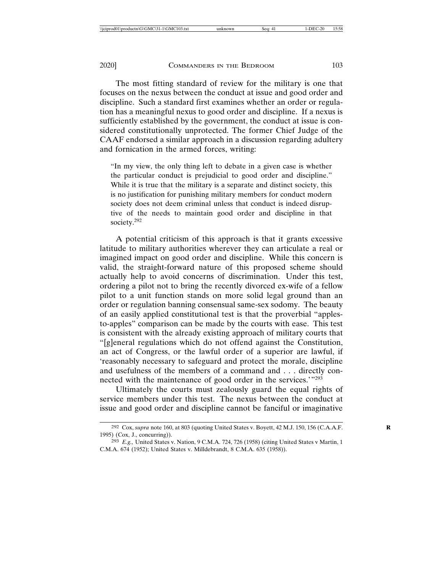The most fitting standard of review for the military is one that focuses on the nexus between the conduct at issue and good order and discipline. Such a standard first examines whether an order or regulation has a meaningful nexus to good order and discipline. If a nexus is sufficiently established by the government, the conduct at issue is considered constitutionally unprotected. The former Chief Judge of the CAAF endorsed a similar approach in a discussion regarding adultery and fornication in the armed forces, writing:

"In my view, the only thing left to debate in a given case is whether the particular conduct is prejudicial to good order and discipline." While it is true that the military is a separate and distinct society, this is no justification for punishing military members for conduct modern society does not deem criminal unless that conduct is indeed disruptive of the needs to maintain good order and discipline in that society.292

A potential criticism of this approach is that it grants excessive latitude to military authorities wherever they can articulate a real or imagined impact on good order and discipline. While this concern is valid, the straight-forward nature of this proposed scheme should actually help to avoid concerns of discrimination. Under this test, ordering a pilot not to bring the recently divorced ex-wife of a fellow pilot to a unit function stands on more solid legal ground than an order or regulation banning consensual same-sex sodomy. The beauty of an easily applied constitutional test is that the proverbial "applesto-apples" comparison can be made by the courts with ease. This test is consistent with the already existing approach of military courts that "[g]eneral regulations which do not offend against the Constitution, an act of Congress, or the lawful order of a superior are lawful, if 'reasonably necessary to safeguard and protect the morale, discipline and usefulness of the members of a command and . . . directly connected with the maintenance of good order in the services.'"293

Ultimately the courts must zealously guard the equal rights of service members under this test. The nexus between the conduct at issue and good order and discipline cannot be fanciful or imaginative

<sup>292</sup> Cox, *supra* note 160, at 803 (quoting United States v. Boyett, 42 M.J. 150, 156 (C.A.A.F. **R** 1995) (Cox, J., concurring)).

<sup>293</sup> *E.g.,* United States v. Nation, 9 C.M.A. 724, 726 (1958) (citing United States v Martin, 1 C.M.A. 674 (1952); United States v. Milldebrandt, 8 C.M.A. 635 (1958)).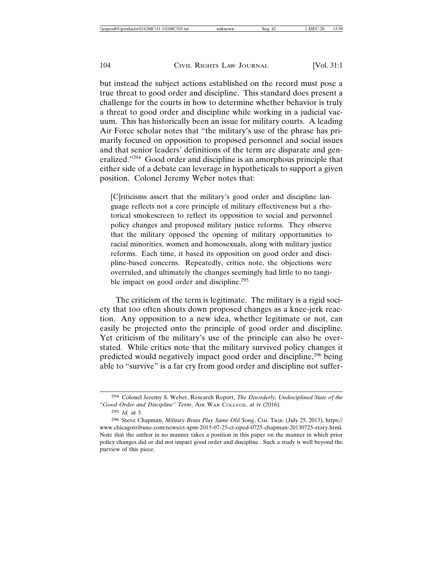but instead the subject actions established on the record must pose a true threat to good order and discipline. This standard does present a challenge for the courts in how to determine whether behavior is truly a threat to good order and discipline while working in a judicial vacuum. This has historically been an issue for military courts. A leading Air Force scholar notes that "the military's use of the phrase has primarily focused on opposition to proposed personnel and social issues and that senior leaders' definitions of the term are disparate and generalized."294 Good order and discipline is an amorphous principle that either side of a debate can leverage in hypotheticals to support a given position. Colonel Jeremy Weber notes that:

[C]riticisms assert that the military's good order and discipline language reflects not a core principle of military effectiveness but a rhetorical smokescreen to reflect its opposition to social and personnel policy changes and proposed military justice reforms. They observe that the military opposed the opening of military opportunities to racial minorities, women and homosexuals, along with military justice reforms. Each time, it based its opposition on good order and discipline-based concerns. Repeatedly, critics note, the objections were overruled, and ultimately the changes seemingly had little to no tangible impact on good order and discipline.<sup>295</sup>

The criticism of the term is legitimate. The military is a rigid society that too often shouts down proposed changes as a knee-jerk reaction. Any opposition to a new idea, whether legitimate or not, can easily be projected onto the principle of good order and discipline. Yet criticism of the military's use of the principle can also be overstated. While critics note that the military survived policy changes it predicted would negatively impact good order and discipline,<sup>296</sup> being able to "survive" is a far cry from good order and discipline not suffer-

<sup>294</sup> Colonel Jeremy S. Weber, Research Report, *The Disorderly, Undisciplined State of the "Good Order and Discipline" Term*, AIR WAR COLLEGE, at iv (2016).

<sup>295</sup> *Id.* at 3.

<sup>296</sup> Steve Chapman, *Military Brass Play Same Old Song*, CHI. TRIB. (July 25, 2013), https:// www.chicagotribune.com/news/ct-xpm-2013-07-25-ct-oped-0725-chapman-20130725-story.html. Note that the author in no manner takes a position in this paper on the manner in which prior policy changes did or did not impact good order and discipline. Such a study is well beyond the purview of this piece.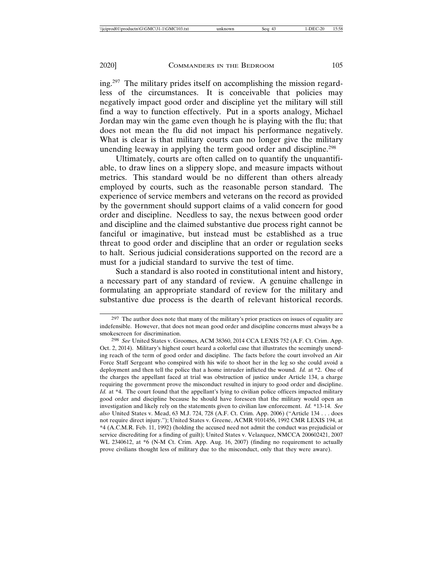ing.297 The military prides itself on accomplishing the mission regardless of the circumstances. It is conceivable that policies may negatively impact good order and discipline yet the military will still find a way to function effectively. Put in a sports analogy, Michael Jordan may win the game even though he is playing with the flu; that does not mean the flu did not impact his performance negatively. What is clear is that military courts can no longer give the military unending leeway in applying the term good order and discipline.<sup>298</sup>

Ultimately, courts are often called on to quantify the unquantifiable, to draw lines on a slippery slope, and measure impacts without metrics. This standard would be no different than others already employed by courts, such as the reasonable person standard. The experience of service members and veterans on the record as provided by the government should support claims of a valid concern for good order and discipline. Needless to say, the nexus between good order and discipline and the claimed substantive due process right cannot be fanciful or imaginative, but instead must be established as a true threat to good order and discipline that an order or regulation seeks to halt. Serious judicial considerations supported on the record are a must for a judicial standard to survive the test of time.

Such a standard is also rooted in constitutional intent and history, a necessary part of any standard of review. A genuine challenge in formulating an appropriate standard of review for the military and substantive due process is the dearth of relevant historical records.

<sup>&</sup>lt;sup>297</sup> The author does note that many of the military's prior practices on issues of equality are indefensible. However, that does not mean good order and discipline concerns must always be a smokescreen for discrimination.

<sup>298</sup> *See* United States v. Groomes, ACM 38360, 2014 CCA LEXIS 752 (A.F. Ct. Crim. App. Oct. 2, 2014). Military's highest court heard a colorful case that illustrates the seemingly unending reach of the term of good order and discipline. The facts before the court involved an Air Force Staff Sergeant who conspired with his wife to shoot her in the leg so she could avoid a deployment and then tell the police that a home intruder inflicted the wound. *Id.* at \*2. One of the charges the appellant faced at trial was obstruction of justice under Article 134, a charge requiring the government prove the misconduct resulted in injury to good order and discipline. *Id.* at \*4. The court found that the appellant's lying to civilian police officers impacted military good order and discipline because he should have foreseen that the military would open an investigation and likely rely on the statements given to civilian law enforcement. *Id.* \*13-14. *See also* United States v. Mead, 63 M.J. 724, 728 (A.F. Ct. Crim. App. 2006) ("Article 134 . . . does not require direct injury."); United States v. Greene, ACMR 9101456, 1992 CMR LEXIS 194, at \*4 (A.C.M.R. Feb. 11, 1992) (holding the accused need not admit the conduct was prejudicial or service discrediting for a finding of guilt); United States v. Velazquez, NMCCA 200602421, 2007 WL 2340612, at \*6 (N-M Ct. Crim. App. Aug. 16, 2007) (finding no requirement to actually prove civilians thought less of military due to the misconduct, only that they were aware).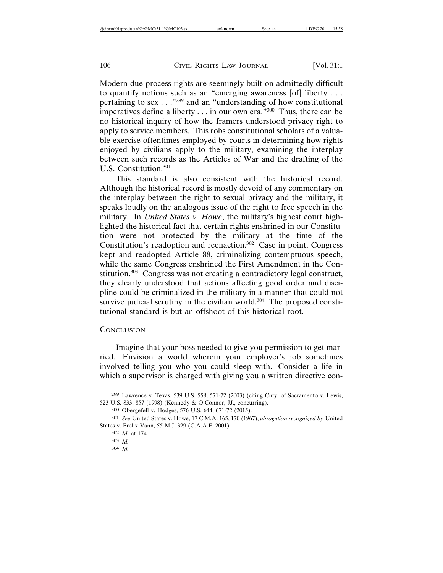Modern due process rights are seemingly built on admittedly difficult to quantify notions such as an "emerging awareness [of] liberty . . . pertaining to sex . . ."299 and an "understanding of how constitutional imperatives define a liberty  $\dots$  in our own era.<sup>"300</sup> Thus, there can be no historical inquiry of how the framers understood privacy right to apply to service members. This robs constitutional scholars of a valuable exercise oftentimes employed by courts in determining how rights enjoyed by civilians apply to the military, examining the interplay between such records as the Articles of War and the drafting of the U.S. Constitution.301

This standard is also consistent with the historical record. Although the historical record is mostly devoid of any commentary on the interplay between the right to sexual privacy and the military, it speaks loudly on the analogous issue of the right to free speech in the military. In *United States v. Howe*, the military's highest court highlighted the historical fact that certain rights enshrined in our Constitution were not protected by the military at the time of the Constitution's readoption and reenaction.302 Case in point, Congress kept and readopted Article 88, criminalizing contemptuous speech, while the same Congress enshrined the First Amendment in the Constitution.303 Congress was not creating a contradictory legal construct, they clearly understood that actions affecting good order and discipline could be criminalized in the military in a manner that could not survive judicial scrutiny in the civilian world. $304$  The proposed constitutional standard is but an offshoot of this historical root.

## **CONCLUSION**

Imagine that your boss needed to give you permission to get married. Envision a world wherein your employer's job sometimes involved telling you who you could sleep with. Consider a life in which a supervisor is charged with giving you a written directive con-

304 *Id.*

<sup>299</sup> Lawrence v. Texas, 539 U.S. 558, 571-72 (2003) (citing Cnty. of Sacramento v. Lewis, 523 U.S. 833, 857 (1998) (Kennedy & O'Connor, JJ., concurring).

<sup>300</sup> Obergefell v. Hodges, 576 U.S. 644, 671-72 (2015).

<sup>301</sup> *See* United States v. Howe, 17 C.M.A. 165, 170 (1967), *abrogation recognized by* United States v. Frelix-Vann, 55 M.J. 329 (C.A.A.F. 2001).

<sup>302</sup> *Id.* at 174.

<sup>303</sup> *Id.*